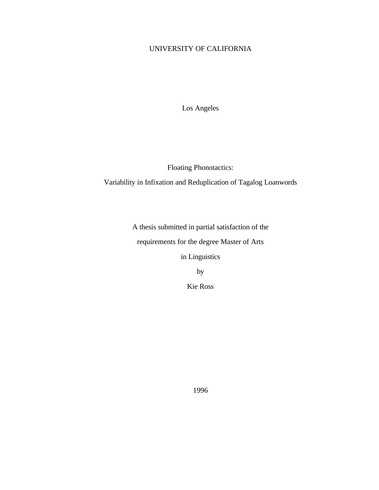# UNIVERSITY OF CALIFORNIA

Los Angeles

Floating Phonotactics:

Variability in Infixation and Reduplication of Tagalog Loanwords

A thesis submitted in partial satisfaction of the requirements for the degree Master of Arts in Linguistics

by

Kie Ross

1996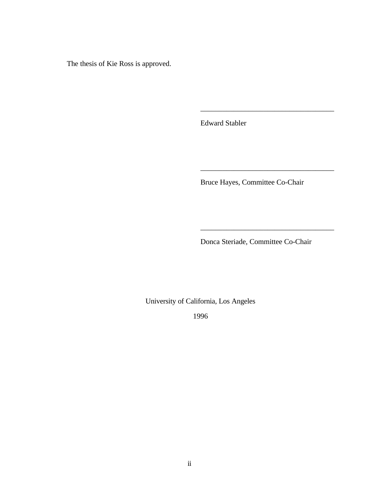The thesis of Kie Ross is approved.

Edward Stabler

Bruce Hayes, Committee Co-Chair

\_\_\_\_\_\_\_\_\_\_\_\_\_\_\_\_\_\_\_\_\_\_\_\_\_\_\_\_\_\_\_\_\_\_\_\_

\_\_\_\_\_\_\_\_\_\_\_\_\_\_\_\_\_\_\_\_\_\_\_\_\_\_\_\_\_\_\_\_\_\_\_\_

\_\_\_\_\_\_\_\_\_\_\_\_\_\_\_\_\_\_\_\_\_\_\_\_\_\_\_\_\_\_\_\_\_\_\_\_

Donca Steriade, Committee Co-Chair

University of California, Los Angeles

1996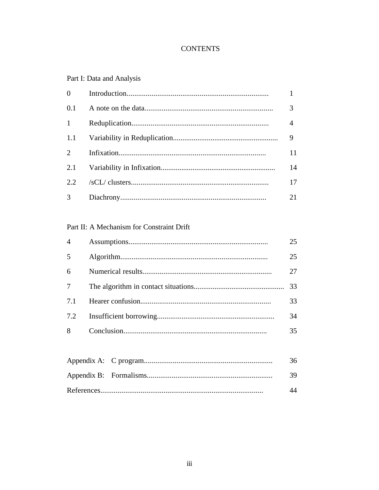# **CONTENTS**

# Part I: Data and Analysis

| $\theta$     |                |
|--------------|----------------|
| 0.1          |                |
| $\mathbf{1}$ | $\overline{4}$ |
| 1.1          | 9              |
| 2            | 11             |
| 2.1          | 14             |
| 2.2.         | 17             |
| 3            | 21             |

# Part II: A Mechanism for Constraint Drift

| 4   | 25 |
|-----|----|
| 5   | 25 |
| 6   | 27 |
|     | 33 |
| 7.1 | 33 |
| 7.2 | 34 |
| 8   | 35 |
|     |    |

|  | 36   |
|--|------|
|  | - 39 |
|  |      |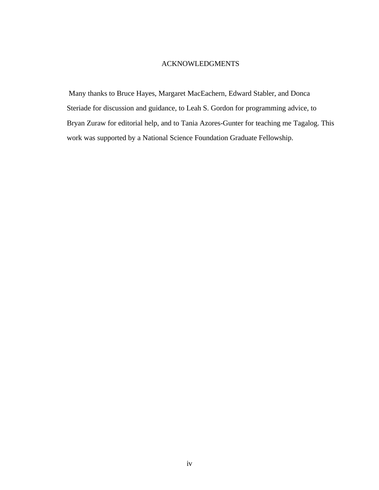## ACKNOWLEDGMENTS

 Many thanks to Bruce Hayes, Margaret MacEachern, Edward Stabler, and Donca Steriade for discussion and guidance, to Leah S. Gordon for programming advice, to Bryan Zuraw for editorial help, and to Tania Azores-Gunter for teaching me Tagalog. This work was supported by a National Science Foundation Graduate Fellowship.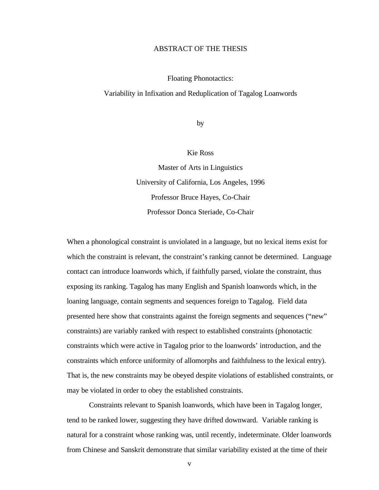### ABSTRACT OF THE THESIS

#### Floating Phonotactics:

#### Variability in Infixation and Reduplication of Tagalog Loanwords

by

### Kie Ross

Master of Arts in Linguistics University of California, Los Angeles, 1996 Professor Bruce Hayes, Co-Chair Professor Donca Steriade, Co-Chair

When a phonological constraint is unviolated in a language, but no lexical items exist for which the constraint is relevant, the constraint's ranking cannot be determined. Language contact can introduce loanwords which, if faithfully parsed, violate the constraint, thus exposing its ranking. Tagalog has many English and Spanish loanwords which, in the loaning language, contain segments and sequences foreign to Tagalog. Field data presented here show that constraints against the foreign segments and sequences ("new" constraints) are variably ranked with respect to established constraints (phonotactic constraints which were active in Tagalog prior to the loanwords' introduction, and the constraints which enforce uniformity of allomorphs and faithfulness to the lexical entry). That is, the new constraints may be obeyed despite violations of established constraints, or may be violated in order to obey the established constraints.

Constraints relevant to Spanish loanwords, which have been in Tagalog longer, tend to be ranked lower, suggesting they have drifted downward. Variable ranking is natural for a constraint whose ranking was, until recently, indeterminate. Older loanwords from Chinese and Sanskrit demonstrate that similar variability existed at the time of their

v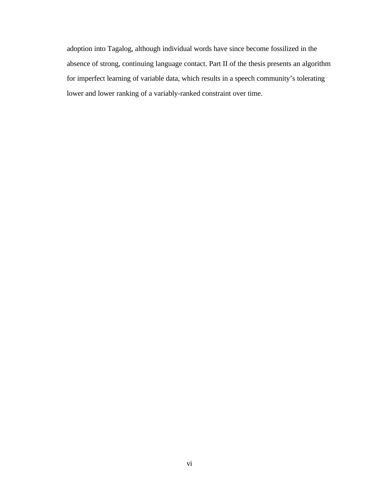adoption into Tagalog, although individual words have since become fossilized in the absence of strong, continuing language contact. Part II of the thesis presents an algorithm for imperfect learning of variable data, which results in a speech community's tolerating lower and lower ranking of a variably-ranked constraint over time.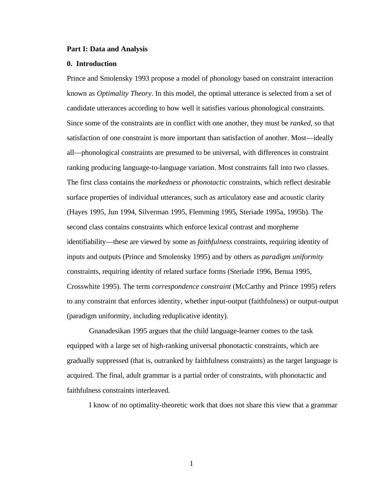#### **Part I: Data and Analysis**

#### **0. Introduction**

Prince and Smolensky 1993 propose a model of phonology based on constraint interaction known as *Optimality Theory*. In this model, the optimal utterance is selected from a set of candidate utterances according to how well it satisfies various phonological constraints. Since some of the constraints are in conflict with one another, they must be *ranked*, so that satisfaction of one constraint is more important than satisfaction of another. Most—ideally all—phonological constraints are presumed to be universal, with differences in constraint ranking producing language-to-language variation. Most constraints fall into two classes. The first class contains the *markedness* or *phonotactic* constraints, which reflect desirable surface properties of individual utterances, such as articulatory ease and acoustic clarity (Hayes 1995, Jun 1994, Silverman 1995, Flemming 1995, Steriade 1995a, 1995b). The second class contains constraints which enforce lexical contrast and morpheme identifiability—these are viewed by some as *faithfulness* constraints, requiring identity of inputs and outputs (Prince and Smolensky 1995) and by others as *paradigm uniformity* constraints, requiring identity of related surface forms (Steriade 1996, Benua 1995, Crosswhite 1995). The term *correspondence constraint* (McCarthy and Prince 1995) refers to any constraint that enforces identity, whether input-output (faithfulness) or output-output (paradigm uniformity, including reduplicative identity).

Gnanadesikan 1995 argues that the child language-learner comes to the task equipped with a large set of high-ranking universal phonotactic constraints, which are gradually suppressed (that is, outranked by faithfulness constraints) as the target language is acquired. The final, adult grammar is a partial order of constraints, with phonotactic and faithfulness constraints interleaved.

I know of no optimality-theoretic work that does not share this view that a grammar

1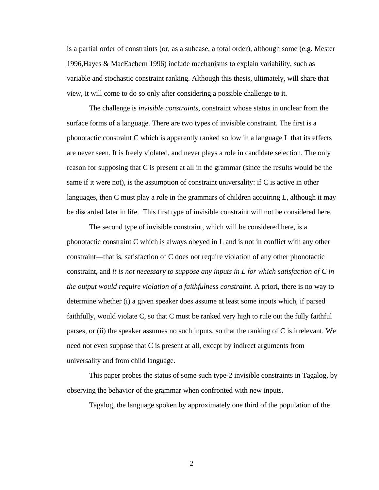is a partial order of constraints (or, as a subcase, a total order), although some (e.g. Mester 1996,Hayes & MacEachern 1996) include mechanisms to explain variability, such as variable and stochastic constraint ranking. Although this thesis, ultimately, will share that view, it will come to do so only after considering a possible challenge to it.

The challenge is *invisible constraints*, constraint whose status in unclear from the surface forms of a language. There are two types of invisible constraint. The first is a phonotactic constraint C which is apparently ranked so low in a language L that its effects are never seen. It is freely violated, and never plays a role in candidate selection. The only reason for supposing that C is present at all in the grammar (since the results would be the same if it were not), is the assumption of constraint universality: if C is active in other languages, then C must play a role in the grammars of children acquiring L, although it may be discarded later in life. This first type of invisible constraint will not be considered here.

The second type of invisible constraint, which will be considered here, is a phonotactic constraint C which is always obeyed in L and is not in conflict with any other constraint—that is, satisfaction of C does not require violation of any other phonotactic constraint, and *it is not necessary to suppose any inputs in L for which satisfaction of C in the output would require violation of a faithfulness constraint.* A priori, there is no way to determine whether (i) a given speaker does assume at least some inputs which, if parsed faithfully, would violate C, so that C must be ranked very high to rule out the fully faithful parses, or (ii) the speaker assumes no such inputs, so that the ranking of C is irrelevant. We need not even suppose that C is present at all, except by indirect arguments from universality and from child language.

This paper probes the status of some such type-2 invisible constraints in Tagalog, by observing the behavior of the grammar when confronted with new inputs.

Tagalog, the language spoken by approximately one third of the population of the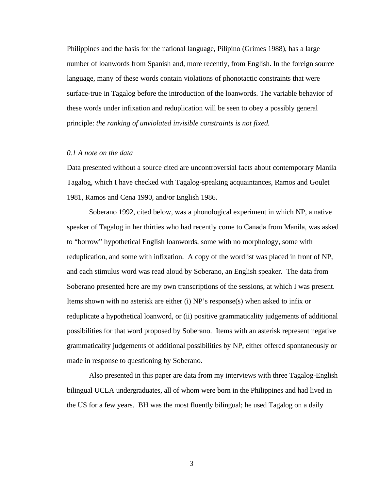Philippines and the basis for the national language, Pilipino (Grimes 1988), has a large number of loanwords from Spanish and, more recently, from English. In the foreign source language, many of these words contain violations of phonotactic constraints that were surface-true in Tagalog before the introduction of the loanwords. The variable behavior of these words under infixation and reduplication will be seen to obey a possibly general principle: *the ranking of unviolated invisible constraints is not fixed.*

### *0.1 A note on the data*

Data presented without a source cited are uncontroversial facts about contemporary Manila Tagalog, which I have checked with Tagalog-speaking acquaintances, Ramos and Goulet 1981, Ramos and Cena 1990, and/or English 1986.

Soberano 1992, cited below, was a phonological experiment in which NP, a native speaker of Tagalog in her thirties who had recently come to Canada from Manila, was asked to "borrow" hypothetical English loanwords, some with no morphology, some with reduplication, and some with infixation. A copy of the wordlist was placed in front of NP, and each stimulus word was read aloud by Soberano, an English speaker. The data from Soberano presented here are my own transcriptions of the sessions, at which I was present. Items shown with no asterisk are either (i) NP's response(s) when asked to infix or reduplicate a hypothetical loanword, or (ii) positive grammaticality judgements of additional possibilities for that word proposed by Soberano. Items with an asterisk represent negative grammaticality judgements of additional possibilities by NP, either offered spontaneously or made in response to questioning by Soberano.

Also presented in this paper are data from my interviews with three Tagalog-English bilingual UCLA undergraduates, all of whom were born in the Philippines and had lived in the US for a few years. BH was the most fluently bilingual; he used Tagalog on a daily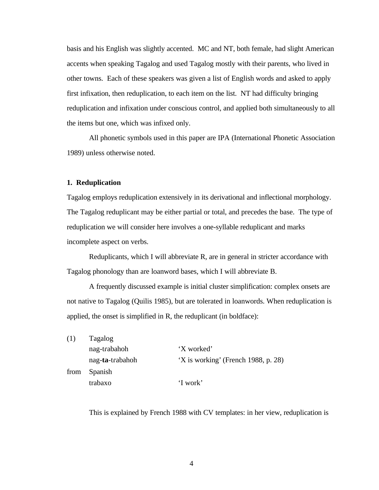basis and his English was slightly accented. MC and NT, both female, had slight American accents when speaking Tagalog and used Tagalog mostly with their parents, who lived in other towns. Each of these speakers was given a list of English words and asked to apply first infixation, then reduplication, to each item on the list. NT had difficulty bringing reduplication and infixation under conscious control, and applied both simultaneously to all the items but one, which was infixed only.

All phonetic symbols used in this paper are IPA (International Phonetic Association 1989) unless otherwise noted.

#### **1. Reduplication**

Tagalog employs reduplication extensively in its derivational and inflectional morphology. The Tagalog reduplicant may be either partial or total, and precedes the base. The type of reduplication we will consider here involves a one-syllable reduplicant and marks incomplete aspect on verbs.

Reduplicants, which I will abbreviate R, are in general in stricter accordance with Tagalog phonology than are loanword bases, which I will abbreviate B.

A frequently discussed example is initial cluster simplification: complex onsets are not native to Tagalog (Quilis 1985), but are tolerated in loanwords. When reduplication is applied, the onset is simplified in R, the reduplicant (in boldface):

| (1)  | Tagalog         |                                     |  |  |
|------|-----------------|-------------------------------------|--|--|
|      | nag-trabahoh    | 'X worked'                          |  |  |
|      | nag-ta-trabahoh | 'X is working' (French 1988, p. 28) |  |  |
| from | Spanish         |                                     |  |  |
|      | trabaxo         | 'I work'                            |  |  |

This is explained by French 1988 with CV templates: in her view, reduplication is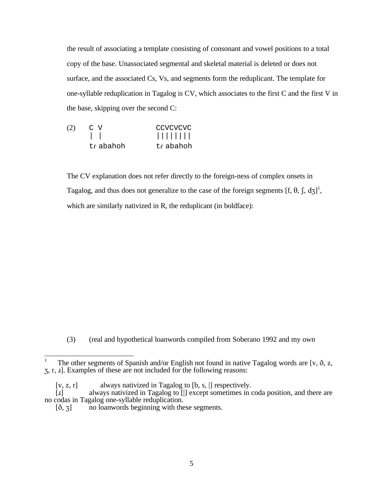the result of associating a template consisting of consonant and vowel positions to a total copy of the base. Unassociated segmental and skeletal material is deleted or does not surface, and the associated Cs, Vs, and segments form the reduplicant. The template for one-syllable reduplication in Tagalog is CV, which associates to the first C and the first V in the base, skipping over the second C:

| (2) | C V       | CCVCVCVC  |
|-----|-----------|-----------|
|     |           |           |
|     | tr abahoh | trabahoh. |

The CV explanation does not refer directly to the foreign-ness of complex onsets in Tagalog, and thus does not generalize to the case of the foreign segments [f,  $\theta$ ,  $\int$ ,  $\mathrm{d}z$ ]<sup>1</sup>, which are similarly nativized in R, the reduplicant (in boldface):

(3) (real and hypothetical loanwords compiled from Soberano 1992 and my own

 1 The other segments of Spanish and/or English not found in native Tagalog words are [v,  $\delta$ , z, 3, r, *x*]. Examples of these are not included for the following reasons:

<sup>[</sup>v, z, r] always nativized in Tagalog to [b, s, |] respectively.

 $[i]$  always nativized in Tagalog to  $[i]$  except sometimes in coda position, and there are no codas in Tagalog one-syllable reduplication.

 $[\delta, 3]$  no loanwords beginning with these segments.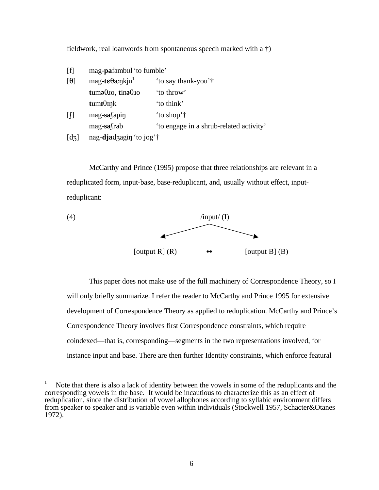fieldwork, real loanwords from spontaneous speech marked with a †)

| [f]                   | mag- <b>pa</b> fambul 'to fumble'                                |                                         |
|-----------------------|------------------------------------------------------------------|-----------------------------------------|
| $\theta$ ]            | $mag$ -te $\theta$ ænkju <sup>1</sup>                            | 'to say thank-you'†                     |
|                       | $t$ uma $\theta$ <sub>JO</sub> , $t$ ina $\theta$ J <sub>O</sub> | 'to throw'                              |
|                       | $t$ um <b>I</b> $\theta$ Ink                                     | 'to think'                              |
| $\left[ \int \right]$ | $mag$ -sa $\{$ apin                                              | 'to shop'†                              |
|                       | $mag$ -sa $\int$ rab                                             | 'to engage in a shrub-related activity' |
| $\lceil d_3 \rceil$   | nag-djadzagin 'to jog'†                                          |                                         |

McCarthy and Prince (1995) propose that three relationships are relevant in a reduplicated form, input-base, base-reduplicant, and, usually without effect, inputreduplicant:



This paper does not make use of the full machinery of Correspondence Theory, so I will only briefly summarize. I refer the reader to McCarthy and Prince 1995 for extensive development of Correspondence Theory as applied to reduplication. McCarthy and Prince's Correspondence Theory involves first Correspondence constraints, which require coindexed—that is, corresponding—segments in the two representations involved, for instance input and base. There are then further Identity constraints, which enforce featural

 Note that there is also a lack of identity between the vowels in some of the reduplicants and the corresponding vowels in the base. It would be incautious to characterize this as an effect of reduplication, since the distribution of vowel allophones according to syllabic environment differs from speaker to speaker and is variable even within individuals (Stockwell 1957, Schacter&Otanes 1972).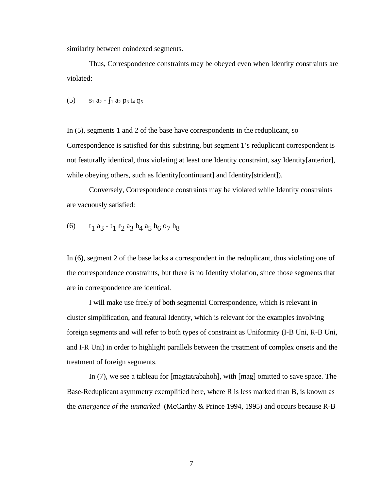similarity between coindexed segments.

Thus, Correspondence constraints may be obeyed even when Identity constraints are violated:

(5)  $s_1 a_2 - \int_1 a_2 p_3 i_4 n_5$ 

In (5), segments 1 and 2 of the base have correspondents in the reduplicant, so Correspondence is satisfied for this substring, but segment 1's reduplicant correspondent is not featurally identical, thus violating at least one Identity constraint, say Identity[anterior], while obeying others, such as Identity[continuant] and Identity[strident]).

Conversely, Correspondence constraints may be violated while Identity constraints are vacuously satisfied:

(6) 
$$
t_1 a_3 - t_1 r_2 a_3 b_4 a_5 h_6 o_7 h_8
$$

In (6), segment 2 of the base lacks a correspondent in the reduplicant, thus violating one of the correspondence constraints, but there is no Identity violation, since those segments that are in correspondence are identical.

I will make use freely of both segmental Correspondence, which is relevant in cluster simplification, and featural Identity, which is relevant for the examples involving foreign segments and will refer to both types of constraint as Uniformity (I-B Uni, R-B Uni, and I-R Uni) in order to highlight parallels between the treatment of complex onsets and the treatment of foreign segments.

In  $(7)$ , we see a tableau for [magtatrabahoh], with [mag] omitted to save space. The Base-Reduplicant asymmetry exemplified here, where R is less marked than B, is known as the *emergence of the unmarked* (McCarthy & Prince 1994, 1995) and occurs because R-B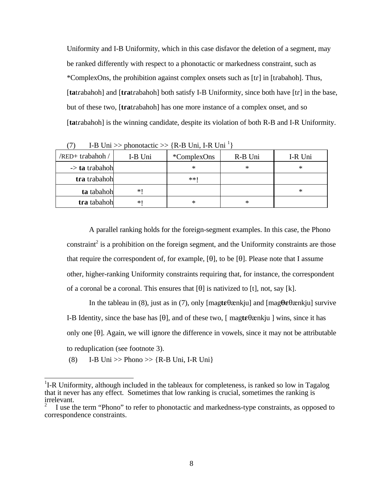Uniformity and I-B Uniformity, which in this case disfavor the deletion of a segment, may be ranked differently with respect to a phonotactic or markedness constraint, such as \*ComplexOns, the prohibition against complex onsets such as  $[tr]$  in  $[trabahoh]$ . Thus, [tatrabahoh] and [t**ra**trabahoh] both satisfy I-B Uniformity, since both have [tr] in the base, but of these two, [tratrabahoh] has one more instance of a complex onset, and so [tatrabahoh] is the winning candidate, despite its violation of both R-B and I-R Uniformity.

| /RED+trabahoh /           | I-B Uni | <i>*</i> ComplexOns | R-B Uni | I-R Uni |
|---------------------------|---------|---------------------|---------|---------|
| $\rightarrow$ ta trabahoh |         | $\ast$              | ∗       | ∗       |
| tra trabahoh              |         | **!                 |         |         |
| ta tabahoh                | *∣      |                     |         | ∗       |
| tra tabahoh               | *       | $\ast$              | ∗       |         |

(7) I-B Uni >> phonotactic >> {R-B Uni, I-R Uni<sup>1</sup>}

A parallel ranking holds for the foreign-segment examples. In this case, the Phono constraint<sup>2</sup> is a prohibition on the foreign segment, and the Uniformity constraints are those that require the correspondent of, for example,  $[\theta]$ , to be  $[\theta]$ . Please note that I assume other, higher-ranking Uniformity constraints requiring that, for instance, the correspondent of a coronal be a coronal. This ensures that  $[\theta]$  is nativized to [t], not, say [k].

In the tableau in (8), just as in (7), only [magt**e** $\theta$ ænkju] and [mag $\theta$ **ε** $\theta$ ænkju] survive I-B Identity, since the base has  $[\theta]$ , and of these two,  $[\text{magte}\theta$ *me* which  $\theta$  wins, since it has only one  $[0]$ . Again, we will ignore the difference in vowels, since it may not be attributable to reduplication (see footnote 3).

(8) I-B Uni >> Phono >> {R-B Uni, I-R Uni}

<sup>&</sup>lt;sup>1</sup>I-R Uniformity, although included in the tableaux for completeness, is ranked so low in Tagalog that it never has any effect. Sometimes that low ranking is crucial, sometimes the ranking is irrelevant.

<sup>2</sup> I use the term "Phono" to refer to phonotactic and markedness-type constraints, as opposed to correspondence constraints.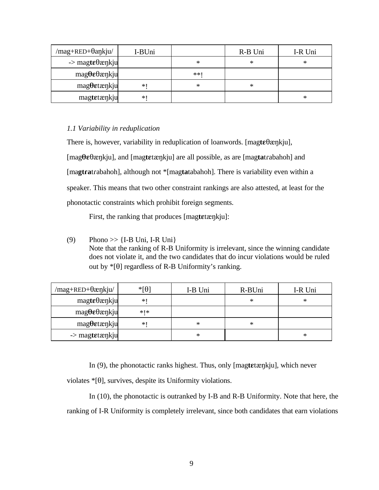| /mag+RED+θankju/                     | I-BUni |     | R-B Uni | I-R Uni |
|--------------------------------------|--------|-----|---------|---------|
| $\rightarrow$ magte $\theta$ ænkju   |        | *   | ∗       | ∗       |
| $mag\theta\epsilon\theta$ ænkju      |        | **1 |         |         |
| $mag$ <b>O</b> $et$ $æ$ $n$ $k$ $ju$ | *      | *   | ∗       |         |
| magtetænkju                          | *      |     |         | $\ast$  |

## *1.1 Variability in reduplication*

There is, however, variability in reduplication of loanwords. [ $mag$ **t** $\varepsilon$  $\theta$  $\alpha$ <sub>I</sub> $\beta$ <sub>I</sub> $\beta$ ], [mag**TE**TQNkju], and [mag**tE**tQNkju] are all possible, as are [mag**ta**tRabahoh] and [magtratrabahoh], although not \*[magtatabahoh]. There is variability even within a speaker. This means that two other constraint rankings are also attested, at least for the phonotactic constraints which prohibit foreign segments.

First, the ranking that produces [magtetænkju]:

(9) Phono  $\gg$  {I-B Uni, I-R Uni} Note that the ranking of R-B Uniformity is irrelevant, since the winning candidate does not violate it, and the two candidates that do incur violations would be ruled out by  $*[\theta]$  regardless of R-B Uniformity's ranking.

| /mag+RED+θæηkju/                     | $*$ [ $\theta$ ] | I-B Uni | R-BUni | I-R Uni |
|--------------------------------------|------------------|---------|--------|---------|
| $mag$ te $\theta$ æŋkju              | $*1$             |         | ∗      | $\ast$  |
| $mag\theta\epsilon\theta$ æŋkju      | *   *            |         |        |         |
| $mag$ <b>O</b> $et$ $æ$ $n$ $k$ $ju$ | $*$              | *       | ∗      |         |
| $\rightarrow$ magtetænkju            |                  | ∗       |        | $\ast$  |

In (9), the phonotactic ranks highest. Thus, only [magt**e**tænkju], which never

violates  $\mathcal{F}[\theta]$ , survives, despite its Uniformity violations.

In (10), the phonotactic is outranked by I-B and R-B Uniformity. Note that here, the ranking of I-R Uniformity is completely irrelevant, since both candidates that earn violations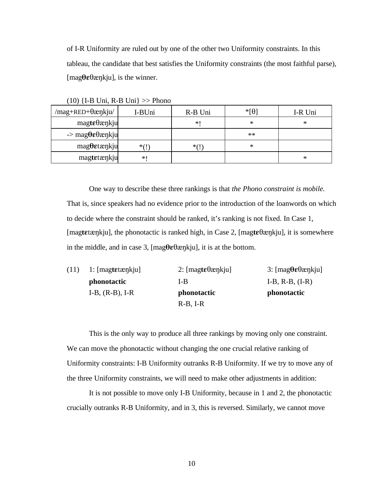of I-R Uniformity are ruled out by one of the other two Uniformity constraints. In this tableau, the candidate that best satisfies the Uniformity constraints (the most faithful parse),  $[\text{mag}\theta \varepsilon \theta \text{ænkju}]$ , is the winner.

| /mag+RED+θæηkju/                     | I-BUni       | R-B Uni | $*$ [ $\theta$ ] | I-R Uni |
|--------------------------------------|--------------|---------|------------------|---------|
| $mag$ te $\theta$ ænkju              |              | $*1$    | $\ast$           | ∗       |
| $\rightarrow$ magθεθænkju            |              |         | $**$             |         |
| $mag$ <b>O</b> $et$ $æ$ $n$ $k$ $ju$ | $*(\dagger)$ | $*(1)$  | ∗                |         |
| magtetænkju                          | *1           |         |                  | $\ast$  |

(10) {I-B Uni, R-B Uni} >> Phono

One way to describe these three rankings is that *the Phono constraint is mobile.* That is, since speakers had no evidence prior to the introduction of the loanwords on which to decide where the constraint should be ranked, it's ranking is not fixed. In Case 1, [magt**e**tacnkju], the phonotactic is ranked high, in Case 2, [magt**e** $\theta$ acnkju], it is somewhere in the middle, and in case 3,  $[\text{mag}\theta \varepsilon \theta \text{c}$ ,  $\text{rk}$  in at the bottom.

| (11) | 1: $[magtetænkju]$ | 2: $[\text{magte}\theta \text{ænkju}]$ | 3: [magθεθæηkju]   |
|------|--------------------|----------------------------------------|--------------------|
|      | <i>phonotactic</i> | I-B                                    | $I-B, R-B, (I-R)$  |
|      | $I-B, (R-B), I-R$  | <i>phonotactic</i>                     | <i>phonotactic</i> |
|      |                    | $R-B, I-R$                             |                    |

This is the only way to produce all three rankings by moving only one constraint. We can move the phonotactic without changing the one crucial relative ranking of Uniformity constraints: I-B Uniformity outranks R-B Uniformity. If we try to move any of the three Uniformity constraints, we will need to make other adjustments in addition:

It is not possible to move only I-B Uniformity, because in 1 and 2, the phonotactic crucially outranks R-B Uniformity, and in 3, this is reversed. Similarly, we cannot move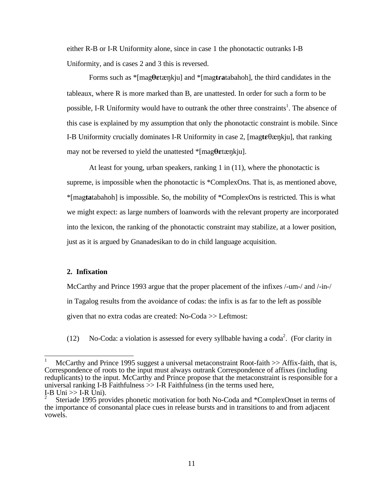either R-B or I-R Uniformity alone, since in case 1 the phonotactic outranks I-B Uniformity, and is cases 2 and 3 this is reversed.

Forms such as  $*$ [mag $\theta$ *e***t** $\alpha$ <sub>l</sub><sub>Nkju</sub>] and  $*$ [mag**tra**tabahoh], the third candidates in the tableaux, where R is more marked than B, are unattested. In order for such a form to be possible, I-R Uniformity would have to outrank the other three constraints<sup>1</sup>. The absence of this case is explained by my assumption that only the phonotactic constraint is mobile. Since I-B Uniformity crucially dominates I-R Uniformity in case 2,  $[\text{mag} \text{te} \theta \text{ex} n \text{ki}]$ , that ranking may not be reversed to yield the unattested  $*$ [mag**θε**tænkju].

At least for young, urban speakers, ranking 1 in (11), where the phonotactic is supreme, is impossible when the phonotactic is \*ComplexOns. That is, as mentioned above, \*[mag**ta**tabahoh] is impossible. So, the mobility of \*ComplexOns is restricted. This is what we might expect: as large numbers of loanwords with the relevant property are incorporated into the lexicon, the ranking of the phonotactic constraint may stabilize, at a lower position, just as it is argued by Gnanadesikan to do in child language acquisition.

### **2. Infixation**

McCarthy and Prince 1993 argue that the proper placement of the infixes /-um-/ and /-in-/ in Tagalog results from the avoidance of codas: the infix is as far to the left as possible given that no extra codas are created: No-Coda >> Leftmost:

(12) No-Coda: a violation is assessed for every syllbable having a coda<sup>2</sup>. (For clarity in

McCarthy and Prince 1995 suggest a universal metaconstraint Root-faith  $\gg$  Affix-faith, that is, Correspondence of roots to the input must always outrank Correspondence of affixes (including reduplicants) to the input. McCarthy and Prince propose that the metaconstraint is responsible for a universal ranking I-B Faithfulness  $\gg$  I-R Faithfulness (in the terms used here, I-B Uni  $>>$  I-R Uni).

<sup>2</sup> Steriade 1995 provides phonetic motivation for both No-Coda and \*ComplexOnset in terms of the importance of consonantal place cues in release bursts and in transitions to and from adjacent vowels.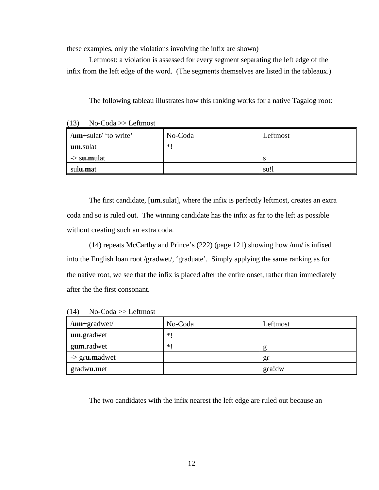these examples, only the violations involving the infix are shown)

Leftmost: a violation is assessed for every segment separating the left edge of the infix from the left edge of the word. (The segments themselves are listed in the tableaux.)

The following tableau illustrates how this ranking works for a native Tagalog root:

 $(13)$  No-Coda >> Leftmost

| $\parallel$ / <b>um</b> +sulat/ 'to write' | No-Coda | Leftmost |
|--------------------------------------------|---------|----------|
| um.sulat                                   | $*1$    |          |
| $\vert \vert$ -> s <b>u.m</b> ulat         |         |          |
| sulu.mat                                   |         | su!      |

The first candidate, [**um**.sulat], where the infix is perfectly leftmost, creates an extra coda and so is ruled out. The winning candidate has the infix as far to the left as possible without creating such an extra coda.

(14) repeats McCarthy and Prince's (222) (page 121) showing how /um/ is infixed into the English loan root /gradwet/, 'graduate'. Simply applying the same ranking as for the native root, we see that the infix is placed after the entire onset, rather than immediately after the the first consonant.

 $(14)$  No-Coda >> Leftmost

| $\mu$ m+gradwet/                  | No-Coda | Leftmost |
|-----------------------------------|---------|----------|
| um.gradwet                        | $*1$    |          |
| gum.radwet                        | $*1$    |          |
| $\Rightarrow$ gr <b>u</b> .madwet |         | gr       |
| gradwu.met                        |         | gra!dw   |

The two candidates with the infix nearest the left edge are ruled out because an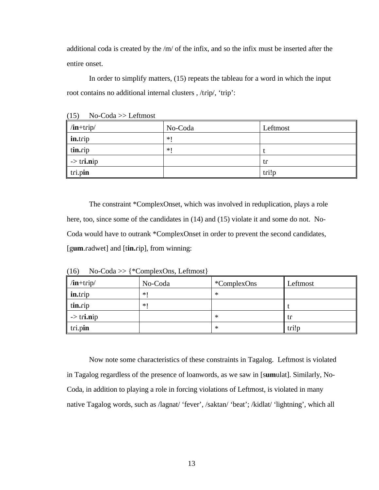additional coda is created by the /m/ of the infix, and so the infix must be inserted after the entire onset.

In order to simplify matters, (15) repeats the tableau for a word in which the input root contains no additional internal clusters, /trip/, 'trip':

| $/$ in+trip $/$       | No-Coda | Leftmost |
|-----------------------|---------|----------|
| in.trip               | $*1$    |          |
| tin.rip               | $*1$    |          |
| $\Rightarrow$ tri.nip |         | tr       |
| tri.pin               |         | tri!p    |

 $(15)$  No-Coda >> Leftmost

The constraint \*ComplexOnset, which was involved in reduplication, plays a role here, too, since some of the candidates in (14) and (15) violate it and some do not. No-Coda would have to outrank \*ComplexOnset in order to prevent the second candidates, [g**um**.radwet] and [tin.rip], from winning:

 $\ln\left|\frac{1}{R}\right|$  No-Coda  $\left|\frac{1}{R}\right|$   $\leq$   $\ln\left|frac{1}{R}\right|$  Leftmost  $\textbf{in}.\text{trip}$   $*!$   $*$ **tin.**rip  $*!$  t  $\Rightarrow \text{tri}.\text{nip}$  tri

tRi.p**in** \* tRi!p

(16) No-Coda >> {\*ComplexOns, Leftmost}

Now note some characteristics of these constraints in Tagalog. Leftmost is violated in Tagalog regardless of the presence of loanwords, as we saw in [s**um**ulat]. Similarly, No-Coda, in addition to playing a role in forcing violations of Leftmost, is violated in many native Tagalog words, such as /lagnat/ 'fever', /saktan/ 'beat'; /kidlat/ 'lightning', which all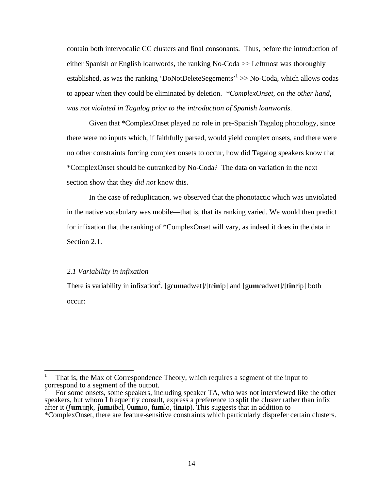contain both intervocalic CC clusters and final consonants. Thus, before the introduction of either Spanish or English loanwords, the ranking No-Coda >> Leftmost was thoroughly established, as was the ranking 'DoNotDeleteSegements'<sup>1</sup> >> No-Coda, which allows codas to appear when they could be eliminated by deletion. *\*ComplexOnset, on the other hand, was not violated in Tagalog prior to the introduction of Spanish loanwords*.

Given that \*ComplexOnset played no role in pre-Spanish Tagalog phonology, since there were no inputs which, if faithfully parsed, would yield complex onsets, and there were no other constraints forcing complex onsets to occur, how did Tagalog speakers know that \*ComplexOnset should be outranked by No-Coda? The data on variation in the next section show that they *did not* know this.

In the case of reduplication, we observed that the phonotactic which was unviolated in the native vocabulary was mobile—that is, that its ranking varied. We would then predict for infixation that the ranking of \*ComplexOnset will vary, as indeed it does in the data in Section 2.1.

### *2.1 Variability in infixation*

There is variability in infixation<sup>2</sup>. [grumadwet]/[trinip] and [gumradwet]/[tinrip] both occur:

<sup>1</sup> That is, the Max of Correspondence Theory, which requires a segment of the input to correspond to a segment of the output.

For some onsets, some speakers, including speaker TA, who was not interviewed like the other speakers, but whom I frequently consult, express a preference to split the cluster rather than infix after it (Sumink, Sumibel,  $\theta$ umio, fumbo, tinip). This suggests that in addition to \*ComplexOnset, there are feature-sensitive constraints which particularly disprefer certain clusters.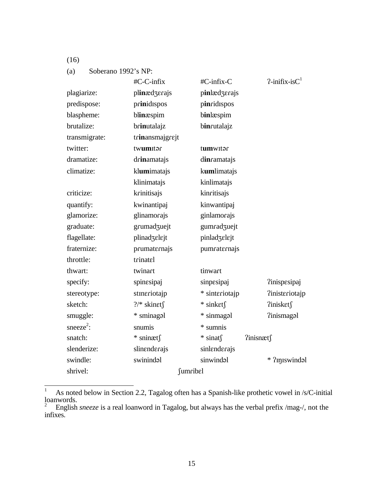(a) Soberano 1992's NP:

|                       | #C-C-infix           | #C-infix-C        | $?$ -inifix-is $C1$          |
|-----------------------|----------------------|-------------------|------------------------------|
| plagiarize:           | plinædzerajs         | pinlædzerajs      |                              |
| predispose:           | prinidispos          | pinridispos       |                              |
| blaspheme:            | blinæspim            | binlæspim         |                              |
| brutalize:            | brinutalajz          | binrutalajz       |                              |
| transmigrate:         | trinansmajgrejt      |                   |                              |
| twitter:              | twumitar             | tumwitar          |                              |
| dramatize:            | drinamatajs          | dincamatajs       |                              |
| climatize:            | klumimatajs          | kumlimatajs       |                              |
|                       | klinimatajs          | kinlimatajs       |                              |
| criticize:            | krinitisajs          | kinritisajs       |                              |
| quantify:             | kwinantipaj          | kinwantipaj       |                              |
| glamorize:            | glinamorajs          | ginlamorajs       |                              |
| graduate:             | grumadzuejt          | gumradzuejt       |                              |
| flagellate:           | plinadzelejt         | pinladzelejt      |                              |
| fraternize:           | prumaternajs         | pumraternajs      |                              |
| throttle:             | trinatel             |                   |                              |
| thwart:               | twinart              | tinwart           |                              |
| specify:              | spinesipaj           | sinpesipaj        | <i><u>linispesipaj</u></i>   |
| stereotype:           | stineriotajp         | * sinteriotajp    | <i><u>linisteriotajp</u></i> |
| sketch:               | $?$ /* skinet $\int$ | $*$ sinket $\int$ | ?inisket∫                    |
| smuggle:              | * sminagal           | * sinmagal        | <i><u>leganism</u></i>       |
| sneeze <sup>2</sup> : | snumis               | * sumnis          |                              |
| snatch:               | $*$ sninæts          | $*$ sinats        | ?inisnæt∫                    |
| slenderize:           | slinenderajs         | sinlenderajs      |                              |
| swindle:              | swinindal            | sinwindal         | * ?injiswindal               |
| shrivel:              | <i>fumribel</i>      |                   |                              |

 $\,1\,$ <sup>1</sup> As noted below in Section 2.2, Tagalog often has a Spanish-like prothetic vowel in /s/C-initial loanwords. 2 English *sneeze* is a real loanword in Tagalog, but always has the verbal prefix /mag-/, not the

infixes.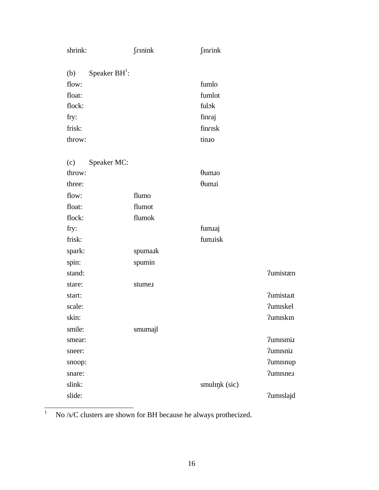| shrink:                | <b>frinink</b> | <b>finrink</b>         |                   |
|------------------------|----------------|------------------------|-------------------|
| Speaker $BH1$ :<br>(b) |                |                        |                   |
| flow:                  |                | fumlo                  |                   |
| float:                 |                | fumlot                 |                   |
| flock:                 |                | fulok                  |                   |
| fry:                   |                | finraj                 |                   |
| frisk:                 |                | finrisk                |                   |
| throw:                 |                | tinto                  |                   |
| Speaker MC:<br>(c)     |                |                        |                   |
| throw:                 |                | $\theta$ um. $\iota$ o |                   |
| three:                 |                | <i><b>Oum</b>xi</i>    |                   |
| flow:                  | flumo          |                        |                   |
| float:                 | flumot         |                        |                   |
| flock:                 | flumok         |                        |                   |
| fry:                   |                | fumaj                  |                   |
| frisk:                 |                | fum.tisk               |                   |
| spark:                 | spumark        |                        |                   |
| spin:                  | spumin         |                        |                   |
| stand:                 |                |                        | <b>?umistæn</b>   |
| stare:                 | stume.         |                        |                   |
| start:                 |                |                        | <b>?umista.tt</b> |
| scale:                 |                |                        | <b>?umiskel</b>   |
| skin:                  |                |                        | <b>?umiskin</b>   |
| smile:                 | smumajl        |                        |                   |
| smear:                 |                |                        | ?umIsmi.I         |
| sneer:                 |                |                        | ?umisni.          |
| snoop:                 |                |                        | <b>?umisnup</b>   |
| snare:                 |                |                        | <b>?umisne.i</b>  |
| slink:                 |                | smultnk (sic)          |                   |
| slide:                 |                |                        | <b>?umislajd</b>  |

 $\bar{1}$ <sup>1</sup> No /s/C clusters are shown for BH because he always prothecized.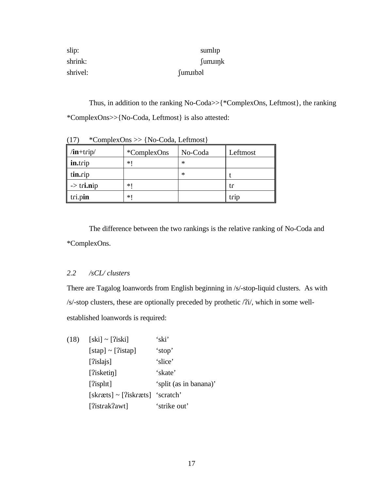| slip:    | suml <sub>Ip</sub>     |
|----------|------------------------|
| shrink:  | $\{\text{um} \text{m}$ |
| shrivel: | fum.IIbəl              |

Thus, in addition to the ranking No-Coda>>{\*ComplexOns, Leftmost}, the ranking \*ComplexOns>>{No-Coda, Leftmost} is also attested:

| "ComplexUns >> {No-Coda, Leitmost} |                                |   |      |  |  |
|------------------------------------|--------------------------------|---|------|--|--|
| $/$ <b>in</b> +trip $/$            | <i>*</i> ComplexOns<br>No-Coda |   |      |  |  |
| in.trip                            | ∗∣                             | ∗ |      |  |  |
| tin.cip                            |                                | ∗ |      |  |  |
| $\rightarrow$ tri.nip              | ∗∣                             |   | tr   |  |  |
| tri.pin                            | ∗∣                             |   | trip |  |  |

 $(17)$  \*ComplexOns >>  $(N_2 \text{ Coda}, L_1 \text{ f}^2)$ 

The difference between the two rankings is the relative ranking of No-Coda and \*ComplexOns.

# *2.2 /sCL/ clusters*

There are Tagalog loanwords from English beginning in /s/-stop-liquid clusters. As with  $/s$ -stop clusters, these are optionally preceded by prothetic  $/2i/$ , which in some wellestablished loanwords is required:

| (18) | $[ski] \sim [?iski]$                 | 'ski'                  |
|------|--------------------------------------|------------------------|
|      | $[step] \sim [?istap]$               | 'stop'                 |
|      | [ $?$ islajs]                        | 'slice'                |
|      | $[?$ isketin $]$                     | 'skate'                |
|      | [?isplit]                            | 'split (as in banana)' |
|      | $[skræts] \sim [?iskræts]$ 'scratch' |                        |
|      | [?istrak?awt]                        | 'strike out'           |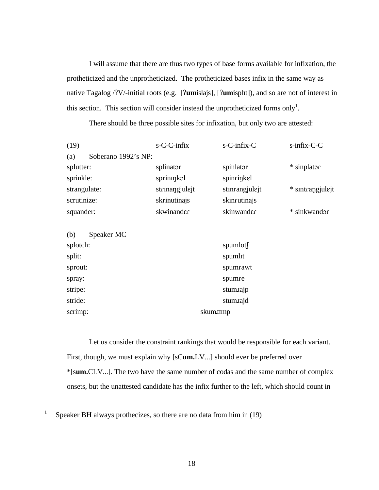I will assume that there are thus two types of base forms available for infixation, the protheticized and the unprotheticized. The protheticized bases infix in the same way as native Tagalog /?V/-initial roots (e.g. [?umislajs], [?umispl1t]), and so are not of interest in this section. This section will consider instead the unprotheticized forms only<sup>1</sup>.

There should be three possible sites for infixation, but only two are attested:

| (19)                       | $s$ -C-C-infix | $s$ -C-infix-C | $s$ -infix-C-C  |
|----------------------------|----------------|----------------|-----------------|
| Soberano 1992's NP:<br>(a) |                |                |                 |
| splutter:                  | splinator      | spinlator      | * sinplator     |
| sprinkle:                  | sprinmkal      | spinrinkel     |                 |
| strangulate:               | strinangjulejt | stinrangjulejt | * sintrangulejt |
| scrutinize:                | skrinutinajs   | skincutinajs   |                 |
| squander:                  | skwinander     | skinwander     | * sinkwandar    |
|                            |                |                |                 |
| (h)<br>$S$ neaker MC       |                |                |                 |

| $\sqrt{v}$ because $\sqrt{v}$ |                     |
|-------------------------------|---------------------|
| splotch:                      | spumlots            |
| split:                        | spuml <sub>It</sub> |
| sprout:                       | spumrawt            |
| spray:                        | spumre              |
| stripe:                       | stumaip             |
| stride:                       | stumajd             |
| scrimp:                       | skum.ump            |
|                               |                     |

Let us consider the constraint rankings that would be responsible for each variant. First, though, we must explain why [sC**um.**LV...] should ever be preferred over \*[s**um.**CLV...]. The two have the same number of codas and the same number of complex onsets, but the unattested candidate has the infix further to the left, which should count in

 $\frac{1}{1}$ Speaker BH always prothecizes, so there are no data from him in (19)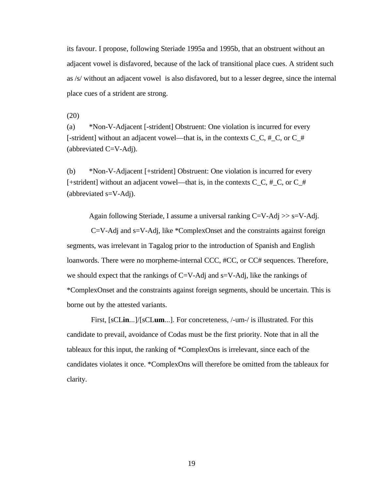its favour. I propose, following Steriade 1995a and 1995b, that an obstruent without an adjacent vowel is disfavored, because of the lack of transitional place cues. A strident such as /s/ without an adjacent vowel is also disfavored, but to a lesser degree, since the internal place cues of a strident are strong.

(20)

(a) \*Non-V-Adjacent [-strident] Obstruent: One violation is incurred for every [-strident] without an adjacent vowel—that is, in the contexts  $C_C$ ,  $\#_C$ , or  $C_{\#}$ (abbreviated  $C=V-Adj$ ).

(b) \*Non-V-Adjacent [+strident] Obstruent: One violation is incurred for every [+strident] without an adjacent vowel—that is, in the contexts  $C_C$ ,  $\#_C$ , or  $C_{\#}$ (abbreviated s=V-Adj).

Again following Steriade, I assume a universal ranking  $C=V-Adj \gg s=V-Adj$ .

 C=V-Adj and s=V-Adj, like \*ComplexOnset and the constraints against foreign segments, was irrelevant in Tagalog prior to the introduction of Spanish and English loanwords. There were no morpheme-internal CCC, #CC, or CC# sequences. Therefore, we should expect that the rankings of  $C=V$ -Adj and  $s=V$ -Adj, like the rankings of \*ComplexOnset and the constraints against foreign segments, should be uncertain. This is borne out by the attested variants.

 First, [sCL**in**...]/[sCL**um**...]. For concreteness, /-um-/ is illustrated. For this candidate to prevail, avoidance of Codas must be the first priority. Note that in all the tableaux for this input, the ranking of \*ComplexOns is irrelevant, since each of the candidates violates it once. \*ComplexOns will therefore be omitted from the tableaux for clarity.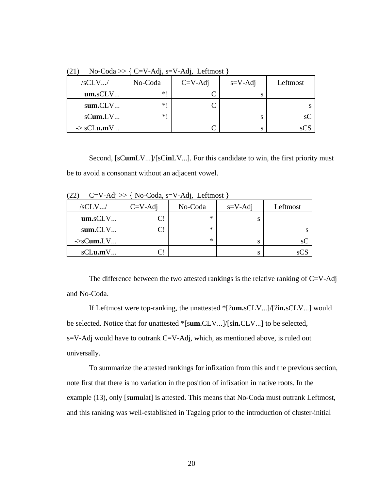| \ <del>=</del> + 7<br>$100 \text{ C}$ |         |           |               |          |  |
|---------------------------------------|---------|-----------|---------------|----------|--|
| /sCLV/                                | No-Coda | $C=V-Adi$ | $s = V - Adi$ | Leftmost |  |
| um. sCLV                              | *1      |           |               |          |  |
| sum.CLV                               | *1      |           |               |          |  |
| sCum.LV                               | *1      |           |               |          |  |
| $\rightarrow$ sCLu.mV                 |         |           |               |          |  |

(21) No-Coda  $\geq$  { C=V-Adj, s=V-Adj, Leftmost }

Second, [sC**um**LV...]/[sC**in**LV...]. For this candidate to win, the first priority must be to avoid a consonant without an adjacent vowel.

| (ムム <i>)</i><br>$C = V - \Delta u$ / $Z = V - \Delta u$ , $V = \Delta u$ , $V = \Delta u$ |           |         |               |          |  |
|-------------------------------------------------------------------------------------------|-----------|---------|---------------|----------|--|
| /sCLV/                                                                                    | $C=V-Adi$ | No-Coda | $s = V - Adi$ | Leftmost |  |
| um. sCLV                                                                                  |           | ∗       | S             |          |  |
| sum.CLV                                                                                   |           | ∗       |               |          |  |
| $\rightarrow$ sCum.LV                                                                     |           | ∗       | S             | SC       |  |
| sCLu.mV                                                                                   |           |         | S             |          |  |

 $(22)$   $C-V-Adi \gg 1$  No-Coda, s-V-Adj, Leftmost 1

The difference between the two attested rankings is the relative ranking of  $C=V-Adj$ and No-Coda.

If Leftmost were top-ranking, the unattested \*[?**um.**sCLV...]/[?**in.**sCLV...] would be selected. Notice that for unattested \*[s**um.**CLV...]/[s**in.**CLV...] to be selected, s=V-Adj would have to outrank C=V-Adj, which, as mentioned above, is ruled out universally.

To summarize the attested rankings for infixation from this and the previous section, note first that there is no variation in the position of infixation in native roots. In the example (13), only [s**um**ulat] is attested. This means that No-Coda must outrank Leftmost, and this ranking was well-established in Tagalog prior to the introduction of cluster-initial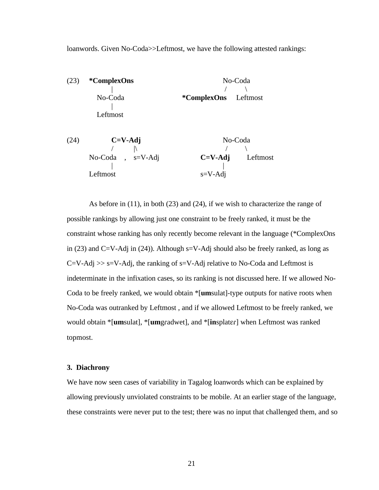loanwords. Given No-Coda>>Leftmost, we have the following attested rankings:



As before in (11), in both (23) and (24), if we wish to characterize the range of possible rankings by allowing just one constraint to be freely ranked, it must be the constraint whose ranking has only recently become relevant in the language (\*ComplexOns in (23) and  $C=V-Adj$  in (24)). Although  $s=V-Adj$  should also be freely ranked, as long as  $C=V-Adj \gg s=V-Adj$ , the ranking of s=V-Adj relative to No-Coda and Leftmost is indeterminate in the infixation cases, so its ranking is not discussed here. If we allowed No-Coda to be freely ranked, we would obtain \*[**um**sulat]-type outputs for native roots when No-Coda was outranked by Leftmost , and if we allowed Leftmost to be freely ranked, we would obtain \*[umsulat], \*[umgradwet], and \*[insplater] when Leftmost was ranked topmost.

### **3. Diachrony**

We have now seen cases of variability in Tagalog loanwords which can be explained by allowing previously unviolated constraints to be mobile. At an earlier stage of the language, these constraints were never put to the test; there was no input that challenged them, and so

21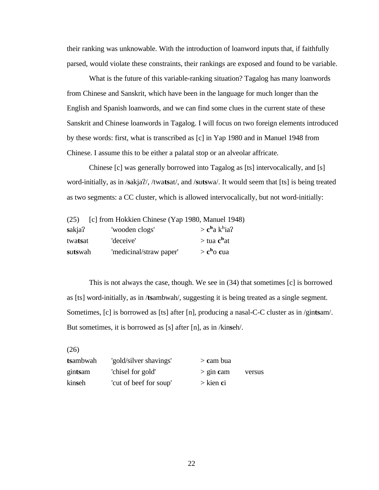their ranking was unknowable. With the introduction of loanword inputs that, if faithfully parsed, would violate these constraints, their rankings are exposed and found to be variable.

What is the future of this variable-ranking situation? Tagalog has many loanwords from Chinese and Sanskrit, which have been in the language for much longer than the English and Spanish loanwords, and we can find some clues in the current state of these Sanskrit and Chinese loanwords in Tagalog. I will focus on two foreign elements introduced by these words: first, what is transcribed as [c] in Yap 1980 and in Manuel 1948 from Chinese. I assume this to be either a palatal stop or an alveolar affricate.

Chinese [c] was generally borrowed into Tagalog as [ts] intervocalically, and [s] word-initially, as in /**s**akja?/, /twa**ts**at/, and /**s**u**ts**wa/. It would seem that [ts] is being treated as two segments: a CC cluster, which is allowed intervocalically, but not word-initially:

| (25)             | [c] from Hokkien Chinese (Yap 1980, Manuel 1948) |                                                |
|------------------|--------------------------------------------------|------------------------------------------------|
| sakja?           | 'wooden clogs'                                   | $>$ <b>c</b> <sup>h</sup> a k <sup>h</sup> ia? |
| twa <b>ts</b> at | 'deceive'                                        | $>$ tua $c^{\text{h}}$ at                      |
| sutswah          | 'medicinal/straw paper'                          | $> ch$ o cua                                   |

This is not always the case, though. We see in (34) that sometimes [c] is borrowed as [ts] word-initially, as in /**ts**ambwah/, suggesting it is being treated as a single segment. Sometimes, [c] is borrowed as [ts] after [n], producing a nasal-C-C cluster as in /gin**ts**am/. But sometimes, it is borrowed as [s] after [n], as in /kin**s**eh/.

(26)

| tsambwah | 'gold/silver shavings' | $>$ cam bua |        |
|----------|------------------------|-------------|--------|
| gintsam  | 'chisel for gold'      | $>$ gin cam | versus |
| kinseh   | 'cut of beef for soup' | $>$ kien ci |        |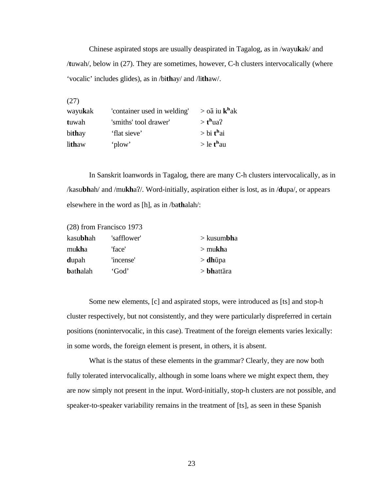Chinese aspirated stops are usually deaspirated in Tagalog, as in /wayu**k**ak/ and /**t**uwah/, below in (27). They are sometimes, however, C-h clusters intervocalically (where 'vocalic' includes glides), as in /bi**th**ay/ and /li**th**aw/.

(27)

| wayukak | 'container used in welding' | > oã iu k <sup>h</sup> ak |
|---------|-----------------------------|---------------------------|
| tuwah   | 'smiths' tool drawer'       | $> th$ ua?                |
| bithay  | 'flat sieve'                | $>$ bi t <sup>h</sup> ai  |
| lithaw  | 'plow'                      | $>$ le t <sup>h</sup> au  |

In Sanskrit loanwords in Tagalog, there are many C-h clusters intervocalically, as in /kasu**bh**ah/ and /mu**kh**a?/. Word-initially, aspiration either is lost, as in /**d**upa/, or appears elsewhere in the word as [h], as in /ba**th**alah/:

|                  | (28) from Francisco 1973 |                       |
|------------------|--------------------------|-----------------------|
| kasubhah         | 'safflower'              | $>$ kusum <b>bh</b> a |
| mukha            | 'face'                   | $>$ mukha             |
| dupah            | 'incense'                | $>$ <b>dh</b> ūpa     |
| <b>b</b> athalah | 'God'                    | $>$ <b>bh</b> attāra  |

Some new elements, [c] and aspirated stops, were introduced as [ts] and stop-h cluster respectively, but not consistently, and they were particularly dispreferred in certain positions (nonintervocalic, in this case). Treatment of the foreign elements varies lexically: in some words, the foreign element is present, in others, it is absent.

What is the status of these elements in the grammar? Clearly, they are now both fully tolerated intervocalically, although in some loans where we might expect them, they are now simply not present in the input. Word-initially, stop-h clusters are not possible, and speaker-to-speaker variability remains in the treatment of [ts], as seen in these Spanish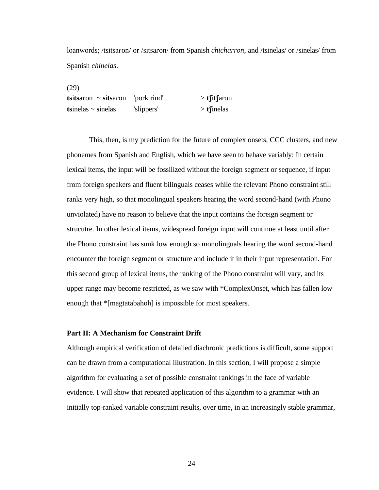loanwords; /tsitsaron/ or /sitsaron/ from Spanish *chicharron*, and /tsinelas/ or /sinelas/ from Spanish *chinelas*.

(29)

| $t$ sitsaron ~ sitsaron 'pork rind' |            | $> t$ fitfaron |
|-------------------------------------|------------|----------------|
| tsinelas $\sim$ sinelas             | 'slippers' | $>$ tsinelas   |

This, then, is my prediction for the future of complex onsets, CCC clusters, and new phonemes from Spanish and English, which we have seen to behave variably: In certain lexical items, the input will be fossilized without the foreign segment or sequence, if input from foreign speakers and fluent bilinguals ceases while the relevant Phono constraint still ranks very high, so that monolingual speakers hearing the word second-hand (with Phono unviolated) have no reason to believe that the input contains the foreign segment or strucutre. In other lexical items, widespread foreign input will continue at least until after the Phono constraint has sunk low enough so monolinguals hearing the word second-hand encounter the foreign segment or structure and include it in their input representation. For this second group of lexical items, the ranking of the Phono constraint will vary, and its upper range may become restricted, as we saw with \*ComplexOnset, which has fallen low enough that \*[magtatabahoh] is impossible for most speakers.

### **Part II: A Mechanism for Constraint Drift**

Although empirical verification of detailed diachronic predictions is difficult, some support can be drawn from a computational illustration. In this section, I will propose a simple algorithm for evaluating a set of possible constraint rankings in the face of variable evidence. I will show that repeated application of this algorithm to a grammar with an initially top-ranked variable constraint results, over time, in an increasingly stable grammar,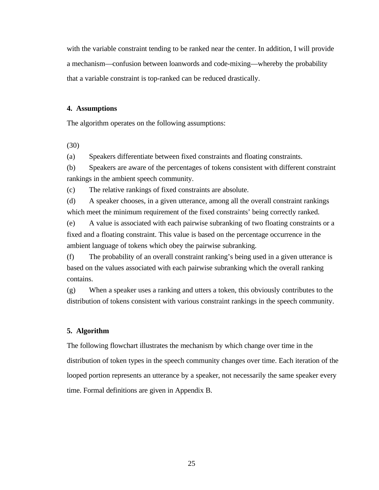with the variable constraint tending to be ranked near the center. In addition, I will provide a mechanism—confusion between loanwords and code-mixing—whereby the probability that a variable constraint is top-ranked can be reduced drastically.

## **4. Assumptions**

The algorithm operates on the following assumptions:

(30)

(a) Speakers differentiate between fixed constraints and floating constraints.

(b) Speakers are aware of the percentages of tokens consistent with different constraint rankings in the ambient speech community.

(c) The relative rankings of fixed constraints are absolute.

(d) A speaker chooses, in a given utterance, among all the overall constraint rankings which meet the minimum requirement of the fixed constraints' being correctly ranked.

(e) A value is associated with each pairwise subranking of two floating constraints or a fixed and a floating constraint. This value is based on the percentage occurrence in the ambient language of tokens which obey the pairwise subranking.

(f) The probability of an overall constraint ranking's being used in a given utterance is based on the values associated with each pairwise subranking which the overall ranking contains.

(g) When a speaker uses a ranking and utters a token, this obviously contributes to the distribution of tokens consistent with various constraint rankings in the speech community.

## **5. Algorithm**

The following flowchart illustrates the mechanism by which change over time in the distribution of token types in the speech community changes over time. Each iteration of the looped portion represents an utterance by a speaker, not necessarily the same speaker every time. Formal definitions are given in Appendix B.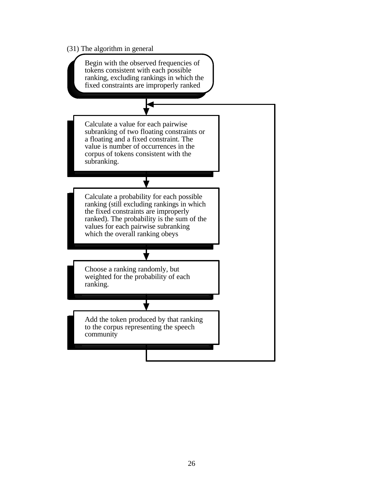(31) The algorithm in general

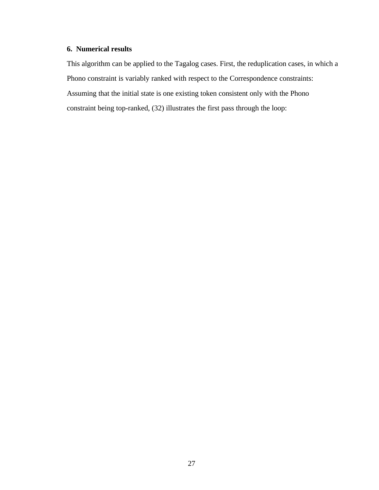# **6. Numerical results**

This algorithm can be applied to the Tagalog cases. First, the reduplication cases, in which a Phono constraint is variably ranked with respect to the Correspondence constraints: Assuming that the initial state is one existing token consistent only with the Phono constraint being top-ranked, (32) illustrates the first pass through the loop: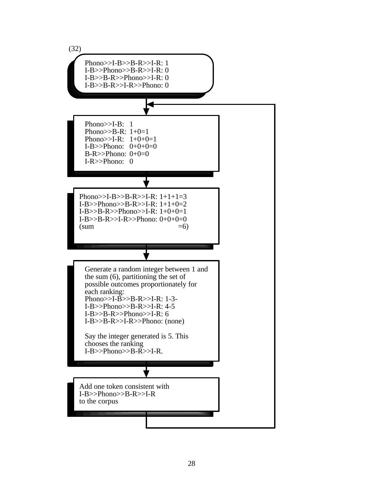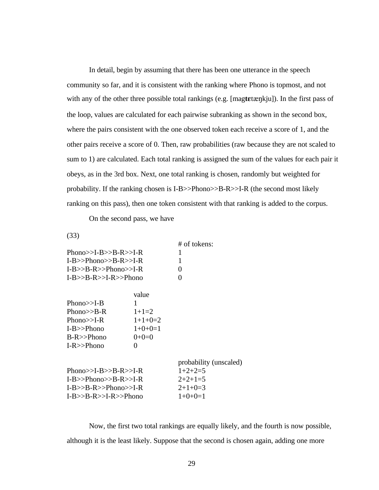In detail, begin by assuming that there has been one utterance in the speech community so far, and it is consistent with the ranking where Phono is topmost, and not with any of the other three possible total rankings (e.g. [magtetænkju]). In the first pass of the loop, values are calculated for each pairwise subranking as shown in the second box, where the pairs consistent with the one observed token each receive a score of 1, and the other pairs receive a score of 0. Then, raw probabilities (raw because they are not scaled to sum to 1) are calculated. Each total ranking is assigned the sum of the values for each pair it obeys, as in the 3rd box. Next, one total ranking is chosen, randomly but weighted for probability. If the ranking chosen is I-B>>Phono>>B-R>>I-R (the second most likely ranking on this pass), then one token consistent with that ranking is added to the corpus.

On the second pass, we have

(33)

|                         | # of tokens:      |
|-------------------------|-------------------|
| Phono $>>I-B>>B-R>>I-R$ |                   |
| $I-B>>Phono>>B-R>>I-R$  | -1                |
| $I-B>>B-R>>Phono>>I-R$  | $\mathbf{\Omega}$ |
| $I-B>>B-R>>I-R>>Phono$  | $\mathbf{\Omega}$ |
|                         |                   |

|               | value             |
|---------------|-------------------|
| Phono $>>I-B$ | 1                 |
| Phono $>>B-R$ | $1+1=2$           |
| Phono $>>I-R$ | $1+1+0=2$         |
| $I-B>>Phono$  | $1+0+0=1$         |
| $B-R>>Phono$  | $0 + 0 = 0$       |
| $I-R>>Phono$  | $\mathbf{\Omega}$ |
|               |                   |

|                        | probability (unscaled) |
|------------------------|------------------------|
| Phono>>I-B>>B-R>>I-R   | $1+2+2=5$              |
| $I-B>>Phono>>B-R>>I-R$ | $2+2+1=5$              |
| $I-B>>B-R>>Phono>>I-R$ | $2+1+0=3$              |
| $I-B>>B-R>>I-R>>Phono$ | $1+0+0=1$              |

Now, the first two total rankings are equally likely, and the fourth is now possible, although it is the least likely. Suppose that the second is chosen again, adding one more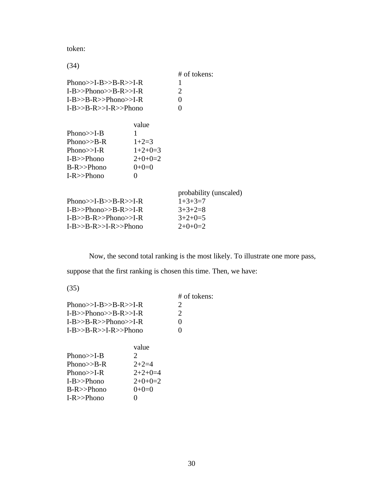token:

|                        |              | # of tokens:           |
|------------------------|--------------|------------------------|
| Phono>>I-B>>B-R>>I-R   |              | 1                      |
| $I-B>>Phono>>B-R>>I-R$ | 2            |                        |
| $I-B>>B-R>>Phono>>I-R$ |              | 0                      |
| $I-B>>B-R>>I-R>>Phono$ |              | 0                      |
|                        | value        |                        |
| Phono $>>I-B$          | 1            |                        |
| Phono $>>B-R$          | $1+2=3$      |                        |
| Phono $>>I-R$          | $1+2+0=3$    |                        |
| $I-B>>Phono$           | $2+0+0=2$    |                        |
| $B-R>>Phono$           | $0+0=0$      |                        |
| $I-R>>Phono$           | $\mathbf{0}$ |                        |
|                        |              | probability (unscaled) |
| Phono>>I-B>>B-R>>I-R   |              | $1+3+3=7$              |
| $I-B>>Phono>>B-R>>I-R$ |              | $3+3+2=8$              |
| $I-B>>B-R>>Phono>>I-R$ |              | $3+2+0=5$              |
| $I-B>>B-R>>I-R>>Phono$ |              | $2+0+0=2$              |

Now, the second total ranking is the most likely. To illustrate one more pass,

suppose that the first ranking is chosen this time. Then, we have:

(35)

|                        | $#$ of tokens: |
|------------------------|----------------|
| Phono>>I-B>>B-R>>I-R   | $\mathcal{L}$  |
| $I-B>>Phono>>B-R>>I-R$ | $\mathcal{L}$  |
| $I-B>>B-R>>Phono>>I-R$ | 0              |
| $I-B>>B-R>>I-R>>Phono$ |                |
|                        |                |

|               | value                 |
|---------------|-----------------------|
| Phono $>>I-B$ | $\mathcal{D}_{\cdot}$ |
| Phono $>>B-R$ | $2+2=4$               |
| Phono $>>I-R$ | $2+2+0=4$             |
| $I-B>>Phono$  | $2+0+0=2$             |
| $B-R>>Phono$  | $0+0=0$               |
| $I-R>>Phono$  | $\mathbf{\Omega}$     |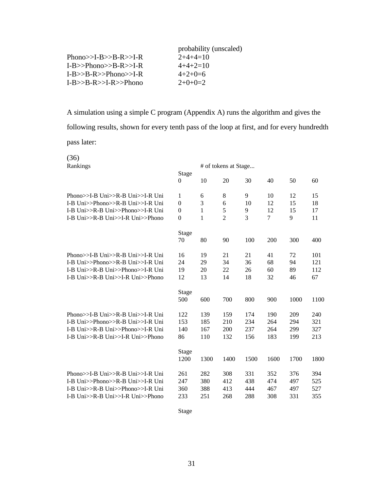|                         | probability (unscaled) |
|-------------------------|------------------------|
| Phono $>>I-B>>B-R>>I-R$ | $2+4+4=10$             |
| $I-B>>Phono>>B-R>>I-R$  | $4+4+2=10$             |
| $I-B>>B-R>>Phono>>I-R$  | $4+2+0=6$              |
| $I-B>>B-R>>I-R>>Phono$  | $2+0+0=2$              |

A simulation using a simple C program (Appendix A) runs the algorithm and gives the following results, shown for every tenth pass of the loop at first, and for every hundredth pass later:

 $(36)$ <br>Paplic

| (30)<br>Rankings                 |                         | # of tokens at Stage |                |      |      |      |      |  |  |
|----------------------------------|-------------------------|----------------------|----------------|------|------|------|------|--|--|
|                                  | Stage<br>$\overline{0}$ | 10                   | 20             | 30   | 40   | 50   | 60   |  |  |
| Phono>>I-B Uni>>R-B Uni>>I-R Uni | $\mathbf{1}$            | 6                    | 8              | 9    | 10   | 12   | 15   |  |  |
| I-B Uni>>Phono>>R-B Uni>>I-R Uni | $\theta$                | 3                    | 6              | 10   | 12   | 15   | 18   |  |  |
| I-B Uni>>R-B Uni>>Phono>>I-R Uni | $\theta$                | 1                    | 5              | 9    | 12   | 15   | 17   |  |  |
| I-B Uni>>R-B Uni>>I-R Uni>>Phono | $\overline{0}$          | $\mathbf{1}$         | $\overline{2}$ | 3    | 7    | 9    | 11   |  |  |
|                                  | <b>Stage</b>            |                      |                |      |      |      |      |  |  |
|                                  | 70                      | 80                   | 90             | 100  | 200  | 300  | 400  |  |  |
| Phono>>I-B Uni>>R-B Uni>>I-R Uni | 16                      | 19                   | 21             | 21   | 41   | 72   | 101  |  |  |
| I-B Uni>>Phono>>R-B Uni>>I-R Uni | 24                      | 29                   | 34             | 36   | 68   | 94   | 121  |  |  |
| I-B Uni>>R-B Uni>>Phono>>I-R Uni | 19                      | 20                   | 22             | 26   | 60   | 89   | 112  |  |  |
| I-B Uni>>R-B Uni>>I-R Uni>>Phono | 12                      | 13                   | 14             | 18   | 32   | 46   | 67   |  |  |
|                                  | <b>Stage</b>            |                      |                |      |      |      |      |  |  |
|                                  | 500                     | 600                  | 700            | 800  | 900  | 1000 | 1100 |  |  |
| Phono>>I-B Uni>>R-B Uni>>I-R Uni | 122                     | 139                  | 159            | 174  | 190  | 209  | 240  |  |  |
| I-B Uni>>Phono>>R-B Uni>>I-R Uni | 153                     | 185                  | 210            | 234  | 264  | 294  | 321  |  |  |
| I-B Uni>>R-B Uni>>Phono>>I-R Uni | 140                     | 167                  | 200            | 237  | 264  | 299  | 327  |  |  |
| I-B Uni>>R-B Uni>>I-R Uni>>Phono | 86                      | 110                  | 132            | 156  | 183  | 199  | 213  |  |  |
|                                  | <b>Stage</b>            |                      |                |      |      |      |      |  |  |
|                                  | 1200                    | 1300                 | 1400           | 1500 | 1600 | 1700 | 1800 |  |  |
| Phono>>I-B Uni>>R-B Uni>>I-R Uni | 261                     | 282                  | 308            | 331  | 352  | 376  | 394  |  |  |
| I-B Uni>>Phono>>R-B Uni>>I-R Uni | 247                     | 380                  | 412            | 438  | 474  | 497  | 525  |  |  |
| I-B Uni>>R-B Uni>>Phono>>I-R Uni | 360                     | 388                  | 413            | 444  | 467  | 497  | 527  |  |  |
| I-B Uni>>R-B Uni>>I-R Uni>>Phono | 233                     | 251                  | 268            | 288  | 308  | 331  | 355  |  |  |

Stage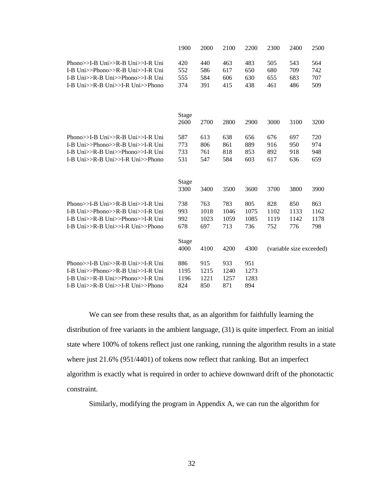|                                                                                                                                              | 1900                       | 2000                       | 2100                       | 2200                       | 2300                       | 2400                       | 2500                       |
|----------------------------------------------------------------------------------------------------------------------------------------------|----------------------------|----------------------------|----------------------------|----------------------------|----------------------------|----------------------------|----------------------------|
| Phono>>I-B Uni>>R-B Uni>>I-R Uni<br>I-B Uni>>Phono>>R-B Uni>>I-R Uni<br>I-B Uni>>R-B Uni>>Phono>>I-R Uni<br>I-B Uni>>R-B Uni>>I-R Uni>>Phono | 420<br>552<br>555<br>374   | 440<br>586<br>584<br>391   | 463<br>617<br>606<br>415   | 483<br>650<br>630<br>438   | 505<br>680<br>655<br>461   | 543<br>709<br>683<br>486   | 564<br>742<br>707<br>509   |
|                                                                                                                                              | Stage<br>2600              | 2700                       | 2800                       | 2900                       | 3000                       | 3100                       | 3200                       |
| Phono>>I-B Uni>>R-B Uni>>I-R Uni<br>I-B Uni>>Phono>>R-B Uni>>I-R Uni<br>I-B Uni>>R-B Uni>>Phono>>I-R Uni<br>I-B Uni>>R-B Uni>>I-R Uni>>Phono | 587<br>773<br>733<br>531   | 613<br>806<br>761<br>547   | 638<br>861<br>818<br>584   | 656<br>889<br>853<br>603   | 676<br>916<br>892<br>617   | 697<br>950<br>918<br>636   | 720<br>974<br>948<br>659   |
|                                                                                                                                              | Stage<br>3300              | 3400                       | 3500                       | 3600                       | 3700                       | 3800                       | 3900                       |
| Phono>>I-B Uni>>R-B Uni>>I-R Uni<br>I-B Uni>>Phono>>R-B Uni>>I-R Uni<br>I-B Uni>>R-B Uni>>Phono>>I-R Uni<br>I-B Uni>>R-B Uni>>I-R Uni>>Phono | 738<br>993<br>992<br>678   | 763<br>1018<br>1023<br>697 | 783<br>1046<br>1059<br>713 | 805<br>1075<br>1085<br>736 | 828<br>1102<br>1119<br>752 | 850<br>1133<br>1142<br>776 | 863<br>1162<br>1178<br>798 |
|                                                                                                                                              | Stage<br>4000              | 4100                       | 4200                       | 4300                       |                            | (variable size exceeded)   |                            |
| Phono>>I-B Uni>>R-B Uni>>I-R Uni<br>I-B Uni>>Phono>>R-B Uni>>I-R Uni<br>I-B Uni>>R-B Uni>>Phono>>I-R Uni<br>I-B Uni>>R-B Uni>>I-R Uni>>Phono | 886<br>1195<br>1196<br>824 | 915<br>1215<br>1221<br>850 | 933<br>1240<br>1257<br>871 | 951<br>1273<br>1283<br>894 |                            |                            |                            |

We can see from these results that, as an algorithm for faithfully learning the distribution of free variants in the ambient language, (31) is quite imperfect. From an initial state where 100% of tokens reflect just one ranking, running the algorithm results in a state where just 21.6% (951/4401) of tokens now reflect that ranking. But an imperfect algorithm is exactly what is required in order to achieve downward drift of the phonotactic constraint.

Similarly, modifying the program in Appendix A, we can run the algorithm for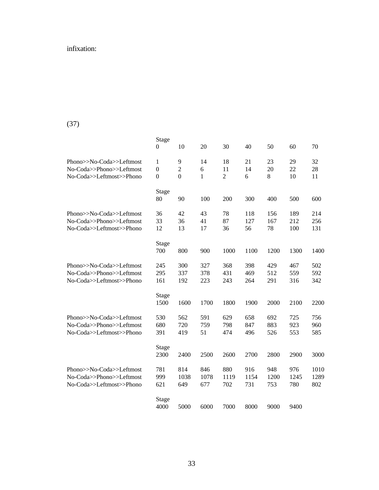# infixation:

# (37)

|                                                                                  | Stage<br>0                                           | 10                                    | 20                 | 30                         | 40                 | 50                 | 60                 | 70                  |
|----------------------------------------------------------------------------------|------------------------------------------------------|---------------------------------------|--------------------|----------------------------|--------------------|--------------------|--------------------|---------------------|
| Phono>>No-Coda>>Leftmost<br>No-Coda>>Phono>>Leftmost<br>No-Coda>>Leftmost>>Phono | $\mathbf{1}$<br>$\boldsymbol{0}$<br>$\boldsymbol{0}$ | 9<br>$\overline{c}$<br>$\overline{0}$ | 14<br>6<br>1       | 18<br>11<br>$\overline{2}$ | 21<br>14<br>6      | 23<br>20<br>8      | 29<br>22<br>10     | 32<br>28<br>11      |
|                                                                                  | <b>Stage</b><br>80                                   | 90                                    | 100                | 200                        | 300                | 400                | 500                | 600                 |
| Phono>>No-Coda>>Leftmost<br>No-Coda>>Phono>>Leftmost<br>No-Coda>>Leftmost>>Phono | 36<br>33<br>12                                       | 42<br>36<br>13                        | 43<br>41<br>17     | 78<br>87<br>36             | 118<br>127<br>56   | 156<br>167<br>78   | 189<br>212<br>100  | 214<br>256<br>131   |
|                                                                                  | Stage<br>700                                         | 800                                   | 900                | 1000                       | 1100               | 1200               | 1300               | 1400                |
| Phono>>No-Coda>>Leftmost<br>No-Coda>>Phono>>Leftmost<br>No-Coda>>Leftmost>>Phono | 245<br>295<br>161                                    | 300<br>337<br>192                     | 327<br>378<br>223  | 368<br>431<br>243          | 398<br>469<br>264  | 429<br>512<br>291  | 467<br>559<br>316  | 502<br>592<br>342   |
|                                                                                  | <b>Stage</b><br>1500                                 | 1600                                  | 1700               | 1800                       | 1900               | 2000               | 2100               | 2200                |
| Phono>>No-Coda>>Leftmost<br>No-Coda>>Phono>>Leftmost<br>No-Coda>>Leftmost>>Phono | 530<br>680<br>391                                    | 562<br>720<br>419                     | 591<br>759<br>51   | 629<br>798<br>474          | 658<br>847<br>496  | 692<br>883<br>526  | 725<br>923<br>553  | 756<br>960<br>585   |
|                                                                                  | Stage<br>2300                                        | 2400                                  | 2500               | 2600                       | 2700               | 2800               | 2900               | 3000                |
| Phono>>No-Coda>>Leftmost<br>No-Coda>>Phono>>Leftmost<br>No-Coda>>Leftmost>>Phono | 781<br>999<br>621                                    | 814<br>1038<br>649                    | 846<br>1078<br>677 | 880<br>1119<br>702         | 916<br>1154<br>731 | 948<br>1200<br>753 | 976<br>1245<br>780 | 1010<br>1289<br>802 |
|                                                                                  | Stage<br>4000                                        | 5000                                  | 6000               | 7000                       | 8000               | 9000               | 9400               |                     |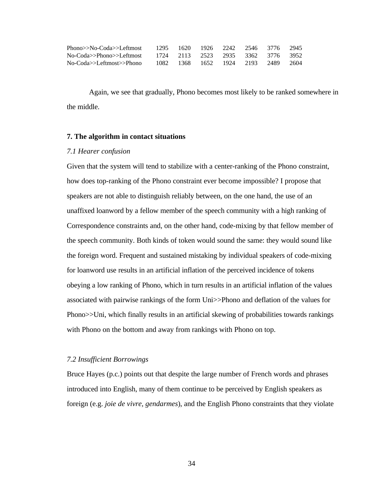| $Phono>>No-Coda>>Leftmost$                                  |  |  | 1295 1620 1926 2242 2546 3776 2945 |  |
|-------------------------------------------------------------|--|--|------------------------------------|--|
| No-Coda>>Phono>>Leftmost 1724 2113 2523 2935 3362 3776 3952 |  |  |                                    |  |
| No-Coda>>Leftmost>>Phono                                    |  |  | 1082 1368 1652 1924 2193 2489 2604 |  |

Again, we see that gradually, Phono becomes most likely to be ranked somewhere in the middle.

### **7. The algorithm in contact situations**

#### *7.1 Hearer confusion*

Given that the system will tend to stabilize with a center-ranking of the Phono constraint, how does top-ranking of the Phono constraint ever become impossible? I propose that speakers are not able to distinguish reliably between, on the one hand, the use of an unaffixed loanword by a fellow member of the speech community with a high ranking of Correspondence constraints and, on the other hand, code-mixing by that fellow member of the speech community. Both kinds of token would sound the same: they would sound like the foreign word. Frequent and sustained mistaking by individual speakers of code-mixing for loanword use results in an artificial inflation of the perceived incidence of tokens obeying a low ranking of Phono, which in turn results in an artificial inflation of the values associated with pairwise rankings of the form Uni>>Phono and deflation of the values for Phono>>Uni, which finally results in an artificial skewing of probabilities towards rankings with Phono on the bottom and away from rankings with Phono on top.

#### *7.2 Insufficient Borrowings*

Bruce Hayes (p.c.) points out that despite the large number of French words and phrases introduced into English, many of them continue to be perceived by English speakers as foreign (e.g. *joie de vivre, gendarmes*), and the English Phono constraints that they violate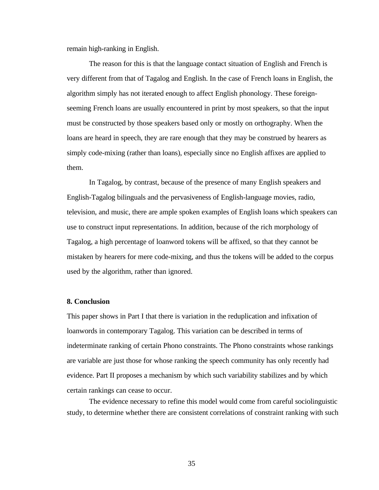remain high-ranking in English.

The reason for this is that the language contact situation of English and French is very different from that of Tagalog and English. In the case of French loans in English, the algorithm simply has not iterated enough to affect English phonology. These foreignseeming French loans are usually encountered in print by most speakers, so that the input must be constructed by those speakers based only or mostly on orthography. When the loans are heard in speech, they are rare enough that they may be construed by hearers as simply code-mixing (rather than loans), especially since no English affixes are applied to them.

In Tagalog, by contrast, because of the presence of many English speakers and English-Tagalog bilinguals and the pervasiveness of English-language movies, radio, television, and music, there are ample spoken examples of English loans which speakers can use to construct input representations. In addition, because of the rich morphology of Tagalog, a high percentage of loanword tokens will be affixed, so that they cannot be mistaken by hearers for mere code-mixing, and thus the tokens will be added to the corpus used by the algorithm, rather than ignored.

### **8. Conclusion**

This paper shows in Part I that there is variation in the reduplication and infixation of loanwords in contemporary Tagalog. This variation can be described in terms of indeterminate ranking of certain Phono constraints. The Phono constraints whose rankings are variable are just those for whose ranking the speech community has only recently had evidence. Part II proposes a mechanism by which such variability stabilizes and by which certain rankings can cease to occur.

The evidence necessary to refine this model would come from careful sociolinguistic study, to determine whether there are consistent correlations of constraint ranking with such

35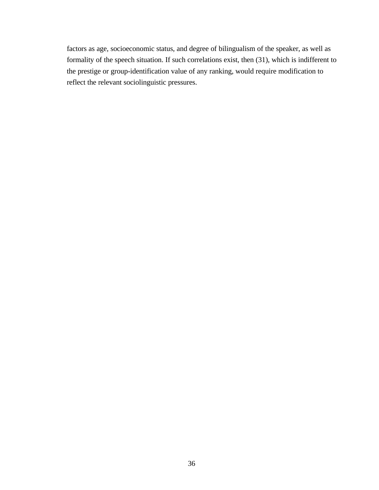factors as age, socioeconomic status, and degree of bilingualism of the speaker, as well as formality of the speech situation. If such correlations exist, then (31), which is indifferent to the prestige or group-identification value of any ranking, would require modification to reflect the relevant sociolinguistic pressures.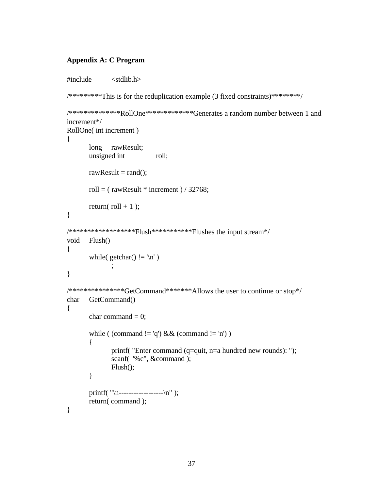### **Appendix A: C Program**

```
#include <stdlib.h>
/********This is for the reduplication example (3 fixed constraints)********/
/**************RollOne*************Generates a random number between 1 and
increment*/
RollOne( int increment ) 
{
       long rawResult;
       unsigned int roll;
       rawResult = rand();
       roll = (rawResult * increment) / 32768;
       return(roll + 1);
}
/******************Flush***********Flushes the input stream*/
void Flush()
{
       while( getchar() ! = \ln')
              ;
}
/***************GetCommand*******Allows the user to continue or stop*/
char GetCommand()
\left\{ \right.char command = 0;
       while ( (command != 'q') && (command != 'n') )
       {
              printf( "Enter command (q=quit, n=a hundred new rounds): ");
              scanf( "%c", &command );
              Flush();
       }
       printf( "\n------------------\n" );
       return( command );
}
```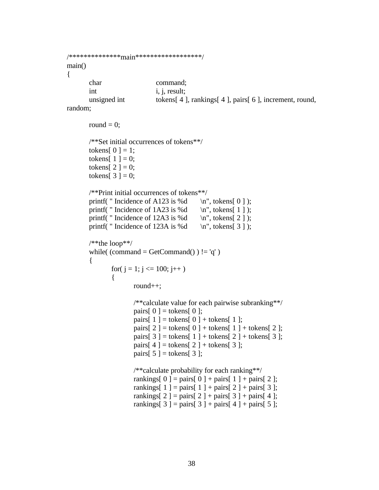```
/**************main******************/
main()
{
     char command;
     int i, j, result;
     unsigned int tokens[ 4 ], rankings[ 4 ], pairs[ 6 ], increment, round,
```

```
random;
```

```
round = 0;
/**Set initial occurrences of tokens**/
tokens[0] = 1;
tokens[1] = 0;
tokens[2] = 0;
tokens[3] = 0;
/**Print initial occurrences of tokens**/
printf( " Incidence of A123 is %d \infty", tokens[ 0 ] );
printf( " Incidence of 1A23 is %d \n", tokens[ 1 ] );
printf( " Incidence of 12A3 is %d \infty", tokens[ 2 ] );
printf( " Incidence of 123A is %d \mathbb{R}^n, tokens[ 3 ] );
/**the loop**/
while( (command = GetCommand() \equiv 'q' )
{
       for(j = 1; j \le 100; j++){
               round++;
              /**calculate value for each pairwise subranking**/
               pairs[0] = tokens[0];
              pairs[1] = tokens[0] + tokens[1];
               pairs[2] = tokens[0] + tokens[1] + tokens[2];
               pairs[3] = tokens[1] + tokens[2] + tokens[3];
              pairs[4] = tokens[2] + tokens[3];
               pairs[5] = tokens[3];
              /**calculate probability for each ranking**/
              rankings[ 0 ] = pairs[ 0 ] + pairs[ 1 ] + pairs[ 2 ];
               rankings[1] = pairs[1] + pairs[2] + pairs[3];
               rankings[ 2 ] = pairs[ 2 ] + pairs[ 3 ] + pairs[ 4 ];
```
rankings[ 3 ] = pairs[ 3 ] + pairs[ 4 ] + pairs[ 5 ];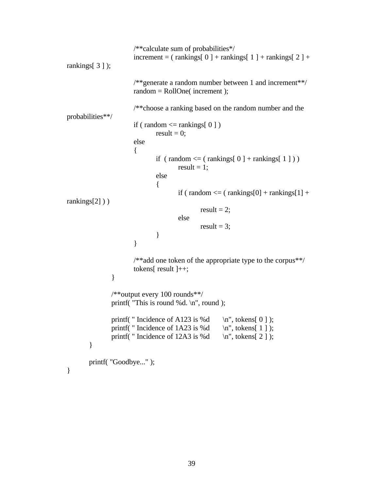```
/**calculate sum of probabilities*/
                        \text{increment} = (\text{ rankings} [ 0 ] + \text{ranking} [ 1 ] + \text{ranking} [ 2 ] +rankings[ 3 ] );
                       /**generate a random number between 1 and increment**/
                        random = RollOne( increment );
                       /**choose a ranking based on the random number and the
probabilities**/
                        if ( random \leq rankings[ 0 ] )
                               result = 0:
                       else
                        {
                               if ( random \leq ( rankings[ 0 ] + rankings[ 1 ] ) )
                                        result = 1;
                               else
                                {
                                        if (random \leq (rankings[0] + rankings[1] +rankings[2] ))
                                               result = 2;
                                        else
                                               result = 3;
                                }
                        }
                       /**add one token of the appropriate type to the corpus**/
                        tokens[ result ]++;
                }
                /**output every 100 rounds**/
                printf( "This is round %d. \n", round );
                printf( " Incidence of A123 is %d \infty", tokens[ 0 ] );
                printf( " Incidence of 1A23 is %d \n", tokens[ 1 ] );
                printf( " Incidence of 12A3 is %d \mathbb{R}^n, tokens[ 2 ] );
        }
       printf( "Goodbye..." );
```
}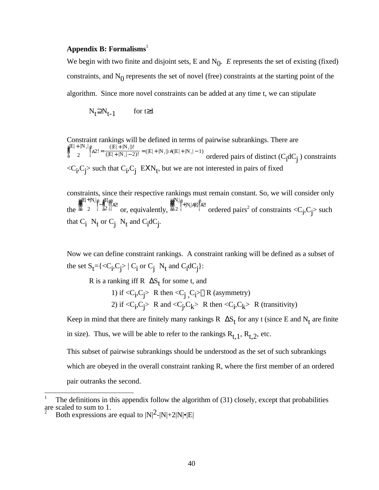## **Appendix B: Formalisms**<sup>1</sup>

We begin with two finite and disjoint sets,  $E$  and  $N_0$ .  $E$  represents the set of existing (fixed) constraints, and  $N_0$  represents the set of novel (free) constraints at the starting point of the algorithm. Since more novel constraints can be added at any time t, we can stipulate

$$
N_t \supseteq N_{t-1} \qquad \text{for } t \ge 1
$$

Constraint rankings will be defined in terms of pairwise subrankings. There are ä  $\frac{a}{a}^{|E|+|N_t}$ | 2 ë  $\sum_{i=1}^{6}$ A2! =  $\frac{(|E| + |N_{t}|)!}{(|E| + |N_{t}| - 2)}$  $\frac{(\vert E \vert + \vert N_t \vert - 2)!}{(\vert E \vert + \vert N_t \vert - 2)!} = (\vert E \vert + \vert N_t \vert) A(E \vert + \vert N_t \vert - 1)$  ordered pairs of distinct  $(C_i dC_j)$  constraints  $\langle C_i, C_j \rangle$  such that  $C_i, C_j$   $EXN_t$ , but we are not interested in pairs of fixed

constraints, since their respective rankings must remain constant. So, we will consider only the ä ã å å å ä ja El+|N<sub>t</sub><br>å 2 | 2 ë ë−ä<br>|−ä<br>í ã a<br>a<br>ã2 2 ë í ì ì ì ë í ì ì <sup>ì</sup>A2! or, equivalently, ä ã å å å ä al<sup>N</sup><br>å<br>ã 2 | 2 ë ë<br>i+|N<sub>t</sub>||A|E|<sup>ë</sup><br>i  $\sum_{i=1}^{k}$  ordered pairs<sup>2</sup> of constraints <C<sub>i</sub>,C<sub>j</sub>> such that  $C_i$   $N_t$  or  $C_j$   $N_t$  and  $C_i$ d $C_j$ .

Now we can define constraint rankings. A constraint ranking will be defined as a subset of the set  $S_t = \{ \langle C_i, C_j \rangle \mid C_i \text{ or } C_j \text{ N}_t \text{ and } C_i \text{d}C_j \}$ :

R is a ranking iff R  $\Delta S_t$  for some t, and

1) if  $\langle C_i, C_j \rangle$  R then  $\langle C_j, C_i \rangle \otimes R$  (asymmetry) 2) if  $\langle C_i, C_j \rangle$  R and  $\langle C_j, C_k \rangle$  R then  $\langle C_i, C_k \rangle$  R (transitivity)

Keep in mind that there are finitely many rankings R  $\Delta S_t$  for any t (since E and N<sub>t</sub> are finite in size). Thus, we will be able to refer to the rankings  $R_{t,1}$ ,  $R_{t,2}$ , etc.

This subset of pairwise subrankings should be understood as the set of such subrankings which are obeyed in the overall constraint ranking R, where the first member of an ordered pair outranks the second.

<sup>1</sup> The definitions in this appendix follow the algorithm of (31) closely, except that probabilities are scaled to sum to 1.

Both expressions are equal to  $|N|^2-|N|+2|N|\cdot|E|$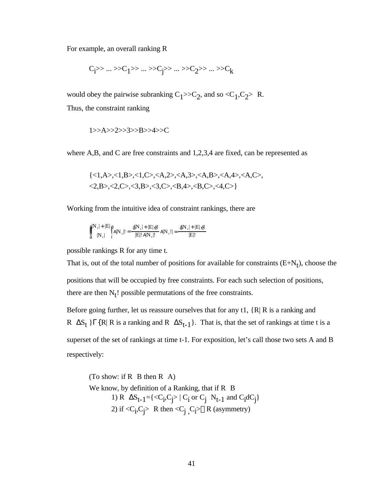For example, an overall ranking R

$$
c_i >> ... >> c_1 >> ... >> c_j >> ... >> c_2 >> ... >> c_k
$$

would obey the pairwise subranking  $C_1 \rightarrow C_2$ , and so  $\langle C_1, C_2 \rangle$  R. Thus, the constraint ranking

1>>A>>2>>3>>B>>4>>C

where A,B, and C are free constraints and 1,2,3,4 are fixed, can be represented as

$$
{<}1, A>, <1, B>, <1, C>, , , , , , <2, B>, <2, C>, <3, B>, <3, C>, , , <4, C>}
$$

Working from the intuitive idea of constraint rankings, there are

$$
\mathop{\mathop{\rm d}\nolimits}_a^{{\rm i}\!|\!|{N_t}|+|E|}\mathop{\mathop{\rm f}\nolimits}_i^{{\rm i}}\!\!|{\rm A}{\rm N_t}|! = \frac{{\rm d}{\rm N_t}|+|E|\mathop{\rm e}\nolimits!}{|E|\mathop{\rm i}\nolimits\!|{\rm A}{\rm N_t}|!}\, {\rm A}{\rm N_t}|! \!=\! \frac{{\rm d}{\rm N_t}|+|E|\mathop{\rm e}\nolimits!}{|E|!}
$$

possible rankings R for any time t.

That is, out of the total number of positions for available for constraints  $(E+N_t)$ , choose the positions that will be occupied by free constraints. For each such selection of positions, there are then  $N_t!$  possible permutations of the free constraints.

Before going further, let us reassure ourselves that for any  $t \in I$ ,  $\{R | R$  is a ranking and R  $\Delta S_t$  }Γ{R| R is a ranking and R  $\Delta S_{t-1}$ }. That is, that the set of rankings at time t is a superset of the set of rankings at time t-1. For exposition, let's call those two sets A and B respectively:

(To show: if  $R$  B then  $R$  A) We know, by definition of a Ranking, that if R B 1) R  $\Delta S_{t-1} = \{ \langle C_i, C_j \rangle \mid C_i \text{ or } C_j \text{ } N_{t-1} \text{ and } C_i \text{d}C_j \}$ 2) if  $\langle C_i, C_j \rangle$  R then  $\langle C_j, C_i \rangle \otimes R$  (asymmetry)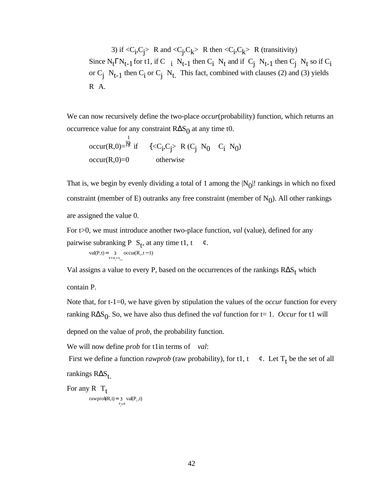3) if  $\langle C_i, C_j \rangle$  R and  $\langle C_j, C_k \rangle$  R then  $\langle C_i, C_k \rangle$  R (transitivity) Since  $N_t \Gamma N_{t-1}$  for t 1, if C  $\,$  i  $\,N_{t-1}$  then C<sub>1</sub>  $\,N_t$  and if  $\,C_j \,N_{t-1}$  then  $C_j \,N_t$  so if  $C_i$ or  $C_j$   $N_{t-1}$  then  $C_i$  or  $C_j$   $N_t$ . This fact, combined with clauses (2) and (3) yields R A.

We can now recursively define the two-place *occur*(probability) function, which returns an occurrence value for any constraint  $R\Delta S_0$  at any time t 0.

occur(R,0)=
$$
\stackrel{1}{\stackrel{N}{\cancel{N}}}
$$
 if  $\{\langle C_i, C_j \rangle \mid R(C_j \mid N_0 \cap C_i \cap N_0) \}$   
occur(R,0)=0 otherwise

That is, we begin by evenly dividing a total of 1 among the  $|N_0|!$  rankings in which no fixed constraint (member of E) outranks any free constraint (member of  $N_0$ ). All other rankings are assigned the value 0.

For t>0, we must introduce another two-place function, *val* (value), defined for any pairwise subranking P  $S_t$ , at any time t 1, t  $\varphi$ .

$$
val(P,t) = \underset{P \circ R_i \circ S_{i-1}}{3} \text{occur}(R_i, t-1)
$$

Val assigns a value to every P, based on the occurrences of the rankings  $R\Delta S_t$  which

contain P.

Note that, for t-1=0, we have given by stipulation the values of the *occur* function for every ranking  $R\Delta S_0$ . So, we have also thus defined the *val* function for t= 1. *Occur* for t 1 will

depned on the value of *prob*, the probability function.

We will now define *prob* for t 1in terms of *val*:

First we define a function *rawprob* (raw probability), for t 1, t  $\phi$ . Let T<sub>t</sub> be the set of all rankings RΔS<sub>t</sub>

For any R  $T_t$ 

rawprob $(R, t) = 3 \text{ val}(P_i, t)$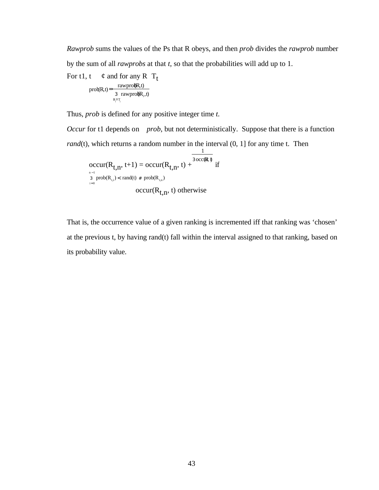*Rawprob* sums the values of the Ps that R obeys, and then *prob* divides the *rawprob* number by the sum of all *rawprobs* at that *t*, so that the probabilities will add up to 1.

For t 1, t  $\phi$  and for any R  $T_t$ 

$$
prob(R,t) = \frac{rawpro(R,t)}{3-rawpro(R_1,t)}
$$

Thus, *prob* is defined for any positive integer time *t.*

*Occur* for t 1 depends on *prob*, but not deterministically. Suppose that there is a function *rand*(t), which returns a random number in the interval  $(0, 1]$  for any time t. Then

$$
\begin{array}{c}\n\frac{1}{3 \text{ occur}(R_{t,n}, t+1) = \text{occur}(R_{t,n}, t) + \frac{3 \text{ occ}(R, t)}{3}} \text{ if } \\
\frac{1}{3} \text{ prob}(R_{t,i}) < \text{ rand}(t) \# \text{ prob}(R_{t,n}) \\
\text{occur}(R_{t,n}, t) \text{ otherwise}\n\end{array}
$$

That is, the occurrence value of a given ranking is incremented iff that ranking was 'chosen' at the previous t, by having rand(t) fall within the interval assigned to that ranking, based on its probability value.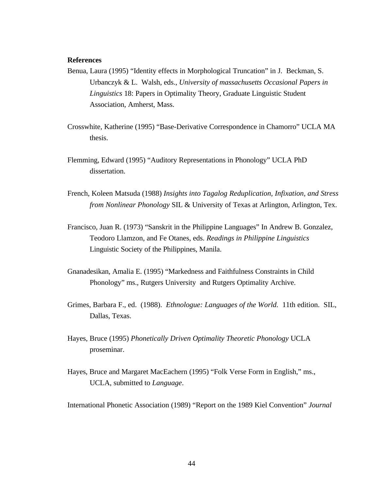### **References**

- Benua, Laura (1995) "Identity effects in Morphological Truncation" in J. Beckman, S. Urbanczyk & L. Walsh, eds., *University of massachusetts Occasional Papers in Linguistics* 18: Papers in Optimality Theory, Graduate Linguistic Student Association, Amherst, Mass.
- Crosswhite, Katherine (1995) "Base-Derivative Correspondence in Chamorro" UCLA MA thesis.
- Flemming, Edward (1995) "Auditory Representations in Phonology" UCLA PhD dissertation.
- French, Koleen Matsuda (1988) *Insights into Tagalog Reduplication, Infixation, and Stress from Nonlinear Phonology* SIL & University of Texas at Arlington, Arlington, Tex.
- Francisco, Juan R. (1973) "Sanskrit in the Philippine Languages" In Andrew B. Gonzalez, Teodoro Llamzon, and Fe Otanes, eds. *Readings in Philippine Linguistics* Linguistic Society of the Philippines, Manila.
- Gnanadesikan, Amalia E. (1995) "Markedness and Faithfulness Constraints in Child Phonology" ms., Rutgers University and Rutgers Optimality Archive.
- Grimes, Barbara F., ed. (1988). *Ethnologue: Languages of the World.* 11th edition. SIL, Dallas, Texas.
- Hayes, Bruce (1995) *Phonetically Driven Optimality Theoretic Phonology* UCLA proseminar.
- Hayes, Bruce and Margaret MacEachern (1995) "Folk Verse Form in English," ms., UCLA, submitted to *Language*.
- International Phonetic Association (1989) "Report on the 1989 Kiel Convention" *Journal*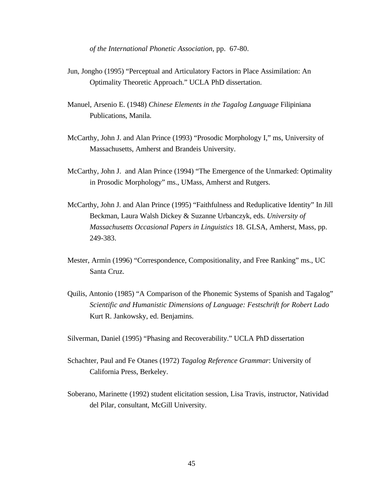*of the International Phonetic Association*, pp. 67-80.

- Jun, Jongho (1995) "Perceptual and Articulatory Factors in Place Assimilation: An Optimality Theoretic Approach." UCLA PhD dissertation.
- Manuel, Arsenio E. (1948) *Chinese Elements in the Tagalog Language* Filipiniana Publications, Manila.
- McCarthy, John J. and Alan Prince (1993) "Prosodic Morphology I," ms, University of Massachusetts, Amherst and Brandeis University.
- McCarthy, John J. and Alan Prince (1994) "The Emergence of the Unmarked: Optimality in Prosodic Morphology" ms., UMass, Amherst and Rutgers.
- McCarthy, John J. and Alan Prince (1995) "Faithfulness and Reduplicative Identity" In Jill Beckman, Laura Walsh Dickey & Suzanne Urbanczyk, eds. *University of Massachusetts Occasional Papers in Linguistics* 18. GLSA, Amherst, Mass, pp. 249-383.
- Mester, Armin (1996) "Correspondence, Compositionality, and Free Ranking" ms., UC Santa Cruz.
- Quilis, Antonio (1985) "A Comparison of the Phonemic Systems of Spanish and Tagalog" *Scientific and Humanistic Dimensions of Language: Festschrift for Robert Lado* Kurt R. Jankowsky, ed. Benjamins.
- Silverman, Daniel (1995) "Phasing and Recoverability." UCLA PhD dissertation
- Schachter, Paul and Fe Otanes (1972) *Tagalog Reference Grammar*: University of California Press, Berkeley.
- Soberano, Marinette (1992) student elicitation session, Lisa Travis, instructor, Natividad del Pilar, consultant, McGill University.